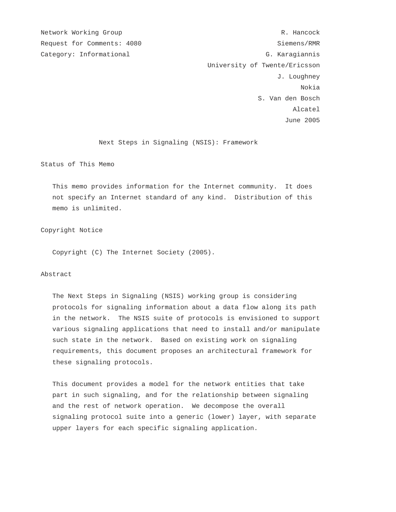Network Working Group and the set of the set of the set of the R. Hancock Request for Comments: 4080 Siemens/RMR Category: Informational G. Karagiannis University of Twente/Ericsson J. Loughney nokia na matsaya na matsayin na matsayin na matsayin na matsayin na matsayin na matsayin na matsayin na matsay S. Van den Bosch Alcatel June 2005

Next Steps in Signaling (NSIS): Framework

Status of This Memo

 This memo provides information for the Internet community. It does not specify an Internet standard of any kind. Distribution of this memo is unlimited.

### Copyright Notice

Copyright (C) The Internet Society (2005).

# Abstract

 The Next Steps in Signaling (NSIS) working group is considering protocols for signaling information about a data flow along its path in the network. The NSIS suite of protocols is envisioned to support various signaling applications that need to install and/or manipulate such state in the network. Based on existing work on signaling requirements, this document proposes an architectural framework for these signaling protocols.

 This document provides a model for the network entities that take part in such signaling, and for the relationship between signaling and the rest of network operation. We decompose the overall signaling protocol suite into a generic (lower) layer, with separate upper layers for each specific signaling application.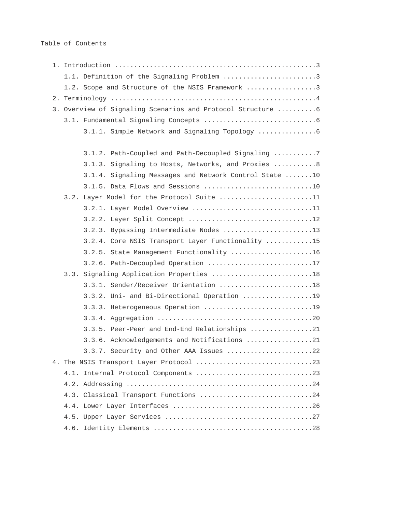Table of Contents

|                                       | 1.1. Definition of the Signaling Problem 3                  |  |  |  |
|---------------------------------------|-------------------------------------------------------------|--|--|--|
|                                       | 1.2. Scope and Structure of the NSIS Framework 3            |  |  |  |
|                                       |                                                             |  |  |  |
|                                       | 3. Overview of Signaling Scenarios and Protocol Structure 6 |  |  |  |
|                                       |                                                             |  |  |  |
|                                       |                                                             |  |  |  |
|                                       |                                                             |  |  |  |
|                                       | 3.1.2. Path-Coupled and Path-Decoupled Signaling 7          |  |  |  |
|                                       | 3.1.3. Signaling to Hosts, Networks, and Proxies  8         |  |  |  |
|                                       | 3.1.4. Signaling Messages and Network Control State 10      |  |  |  |
|                                       | 3.1.5. Data Flows and Sessions 10                           |  |  |  |
|                                       | 3.2. Layer Model for the Protocol Suite 11                  |  |  |  |
|                                       | 3.2.1. Layer Model Overview 11                              |  |  |  |
|                                       | 3.2.2. Layer Split Concept 12                               |  |  |  |
|                                       | 3.2.3. Bypassing Intermediate Nodes 13                      |  |  |  |
|                                       | 3.2.4. Core NSIS Transport Layer Functionality 15           |  |  |  |
|                                       | 3.2.5. State Management Functionality 16                    |  |  |  |
|                                       | 3.2.6. Path-Decoupled Operation 17                          |  |  |  |
|                                       | 3.3. Signaling Application Properties 18                    |  |  |  |
|                                       | 3.3.1. Sender/Receiver Orientation 18                       |  |  |  |
|                                       | 3.3.2. Uni- and Bi-Directional Operation 19                 |  |  |  |
|                                       | 3.3.3. Heterogeneous Operation 19                           |  |  |  |
|                                       |                                                             |  |  |  |
|                                       | 3.3.5. Peer-Peer and End-End Relationships 21               |  |  |  |
|                                       | 3.3.6. Acknowledgements and Notifications 21                |  |  |  |
|                                       | 3.3.7. Security and Other AAA Issues 22                     |  |  |  |
|                                       |                                                             |  |  |  |
|                                       |                                                             |  |  |  |
| 4.3. Classical Transport Functions 24 |                                                             |  |  |  |
|                                       |                                                             |  |  |  |
|                                       |                                                             |  |  |  |
|                                       |                                                             |  |  |  |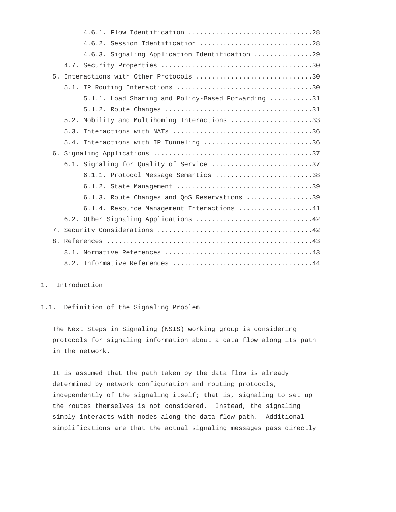|    | 4.6.2. Session Identification 28                   |
|----|----------------------------------------------------|
|    | 4.6.3. Signaling Application Identification 29     |
|    |                                                    |
| 5. | Interactions with Other Protocols 30               |
|    |                                                    |
|    | 5.1.1. Load Sharing and Policy-Based Forwarding 31 |
|    |                                                    |
|    | 5.2. Mobility and Multihoming Interactions 33      |
|    |                                                    |
|    | 5.4. Interactions with IP Tunneling 36             |
|    |                                                    |
|    | 6.1. Signaling for Quality of Service 37           |
|    | 6.1.1. Protocol Message Semantics 38               |
|    |                                                    |
|    | 6.1.3. Route Changes and QoS Reservations 39       |
|    | 6.1.4. Resource Management Interactions 41         |
|    |                                                    |
|    |                                                    |
|    |                                                    |
|    |                                                    |
|    |                                                    |

# 1. Introduction

# 1.1. Definition of the Signaling Problem

 The Next Steps in Signaling (NSIS) working group is considering protocols for signaling information about a data flow along its path in the network.

 It is assumed that the path taken by the data flow is already determined by network configuration and routing protocols, independently of the signaling itself; that is, signaling to set up the routes themselves is not considered. Instead, the signaling simply interacts with nodes along the data flow path. Additional simplifications are that the actual signaling messages pass directly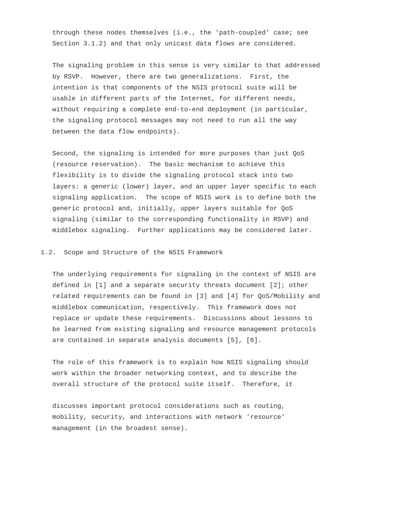through these nodes themselves (i.e., the 'path-coupled' case; see Section 3.1.2) and that only unicast data flows are considered.

 The signaling problem in this sense is very similar to that addressed by RSVP. However, there are two generalizations. First, the intention is that components of the NSIS protocol suite will be usable in different parts of the Internet, for different needs, without requiring a complete end-to-end deployment (in particular, the signaling protocol messages may not need to run all the way between the data flow endpoints).

 Second, the signaling is intended for more purposes than just QoS (resource reservation). The basic mechanism to achieve this flexibility is to divide the signaling protocol stack into two layers: a generic (lower) layer, and an upper layer specific to each signaling application. The scope of NSIS work is to define both the generic protocol and, initially, upper layers suitable for QoS signaling (similar to the corresponding functionality in RSVP) and middlebox signaling. Further applications may be considered later.

1.2. Scope and Structure of the NSIS Framework

 The underlying requirements for signaling in the context of NSIS are defined in [1] and a separate security threats document [2]; other related requirements can be found in [3] and [4] for QoS/Mobility and middlebox communication, respectively. This framework does not replace or update these requirements. Discussions about lessons to be learned from existing signaling and resource management protocols are contained in separate analysis documents [5], [6].

 The role of this framework is to explain how NSIS signaling should work within the broader networking context, and to describe the overall structure of the protocol suite itself. Therefore, it

 discusses important protocol considerations such as routing, mobility, security, and interactions with network 'resource' management (in the broadest sense).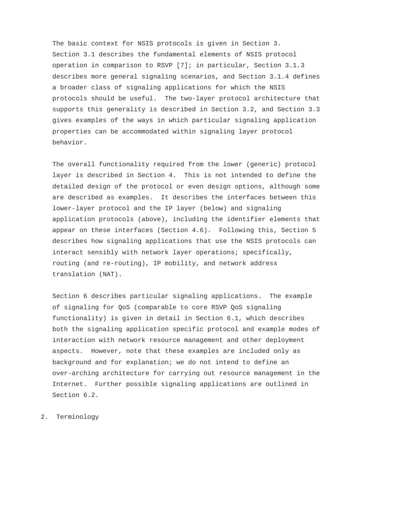The basic context for NSIS protocols is given in Section 3. Section 3.1 describes the fundamental elements of NSIS protocol operation in comparison to RSVP [7]; in particular, Section 3.1.3 describes more general signaling scenarios, and Section 3.1.4 defines a broader class of signaling applications for which the NSIS protocols should be useful. The two-layer protocol architecture that supports this generality is described in Section 3.2, and Section 3.3 gives examples of the ways in which particular signaling application properties can be accommodated within signaling layer protocol behavior.

 The overall functionality required from the lower (generic) protocol layer is described in Section 4. This is not intended to define the detailed design of the protocol or even design options, although some are described as examples. It describes the interfaces between this lower-layer protocol and the IP layer (below) and signaling application protocols (above), including the identifier elements that appear on these interfaces (Section 4.6). Following this, Section 5 describes how signaling applications that use the NSIS protocols can interact sensibly with network layer operations; specifically, routing (and re-routing), IP mobility, and network address translation (NAT).

 Section 6 describes particular signaling applications. The example of signaling for QoS (comparable to core RSVP QoS signaling functionality) is given in detail in Section 6.1, which describes both the signaling application specific protocol and example modes of interaction with network resource management and other deployment aspects. However, note that these examples are included only as background and for explanation; we do not intend to define an over-arching architecture for carrying out resource management in the Internet. Further possible signaling applications are outlined in Section 6.2.

2. Terminology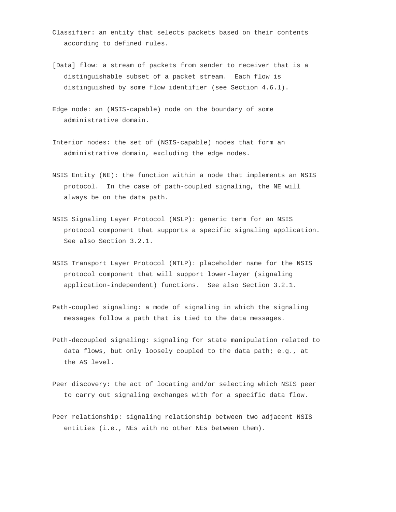- Classifier: an entity that selects packets based on their contents according to defined rules.
- [Data] flow: a stream of packets from sender to receiver that is a distinguishable subset of a packet stream. Each flow is distinguished by some flow identifier (see Section 4.6.1).
- Edge node: an (NSIS-capable) node on the boundary of some administrative domain.
- Interior nodes: the set of (NSIS-capable) nodes that form an administrative domain, excluding the edge nodes.
- NSIS Entity (NE): the function within a node that implements an NSIS protocol. In the case of path-coupled signaling, the NE will always be on the data path.
- NSIS Signaling Layer Protocol (NSLP): generic term for an NSIS protocol component that supports a specific signaling application. See also Section 3.2.1.
- NSIS Transport Layer Protocol (NTLP): placeholder name for the NSIS protocol component that will support lower-layer (signaling application-independent) functions. See also Section 3.2.1.
- Path-coupled signaling: a mode of signaling in which the signaling messages follow a path that is tied to the data messages.
- Path-decoupled signaling: signaling for state manipulation related to data flows, but only loosely coupled to the data path; e.g., at the AS level.
- Peer discovery: the act of locating and/or selecting which NSIS peer to carry out signaling exchanges with for a specific data flow.
- Peer relationship: signaling relationship between two adjacent NSIS entities (i.e., NEs with no other NEs between them).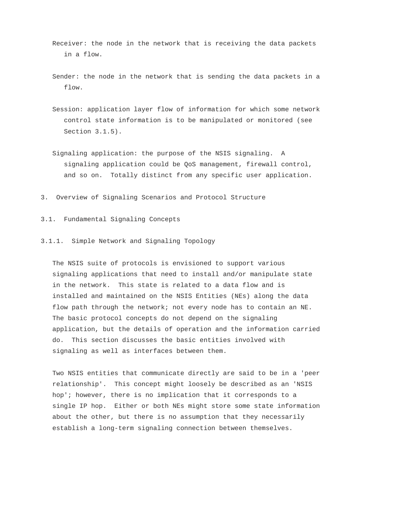- Receiver: the node in the network that is receiving the data packets in a flow.
- Sender: the node in the network that is sending the data packets in a flow.
- Session: application layer flow of information for which some network control state information is to be manipulated or monitored (see Section 3.1.5).
- Signaling application: the purpose of the NSIS signaling. A signaling application could be QoS management, firewall control, and so on. Totally distinct from any specific user application.
- 3. Overview of Signaling Scenarios and Protocol Structure
- 3.1. Fundamental Signaling Concepts

# 3.1.1. Simple Network and Signaling Topology

 The NSIS suite of protocols is envisioned to support various signaling applications that need to install and/or manipulate state in the network. This state is related to a data flow and is installed and maintained on the NSIS Entities (NEs) along the data flow path through the network; not every node has to contain an NE. The basic protocol concepts do not depend on the signaling application, but the details of operation and the information carried do. This section discusses the basic entities involved with signaling as well as interfaces between them.

 Two NSIS entities that communicate directly are said to be in a 'peer relationship'. This concept might loosely be described as an 'NSIS hop'; however, there is no implication that it corresponds to a single IP hop. Either or both NEs might store some state information about the other, but there is no assumption that they necessarily establish a long-term signaling connection between themselves.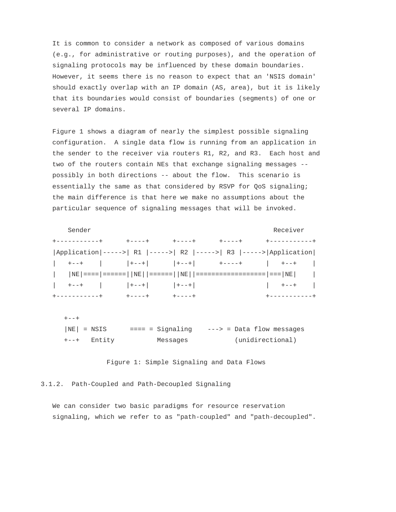It is common to consider a network as composed of various domains (e.g., for administrative or routing purposes), and the operation of signaling protocols may be influenced by these domain boundaries. However, it seems there is no reason to expect that an 'NSIS domain' should exactly overlap with an IP domain (AS, area), but it is likely that its boundaries would consist of boundaries (segments) of one or several IP domains.

 Figure 1 shows a diagram of nearly the simplest possible signaling configuration. A single data flow is running from an application in the sender to the receiver via routers R1, R2, and R3. Each host and two of the routers contain NEs that exchange signaling messages - possibly in both directions -- about the flow. This scenario is essentially the same as that considered by RSVP for QoS signaling; the main difference is that here we make no assumptions about the particular sequence of signaling messages that will be invoked.

Sender Receiver +-----------+ +----+ +----+ +----+ +-----------+ |Application|----->| R1 |----->| R2 |----->| R3 |----->|Application| | +--+ | |+--+| |+--+| +----+ | +--+ | | |NE|====|======||NE||======||NE||==================|===|NE| |  $|$  +--+  $|$   $|$  +--+ $|$   $|$  +--+ $|$   $|$  +--+ $|$   $|$  +--+  $|$   $|$  +--+  $|$ +-----------+ +----+ +----+ +-----------+

 $+ - - +$ |NE| = NSIS ==== = Signaling ---> = Data flow messages +--+ Entity Messages (unidirectional)

Figure 1: Simple Signaling and Data Flows

3.1.2. Path-Coupled and Path-Decoupled Signaling

 We can consider two basic paradigms for resource reservation signaling, which we refer to as "path-coupled" and "path-decoupled".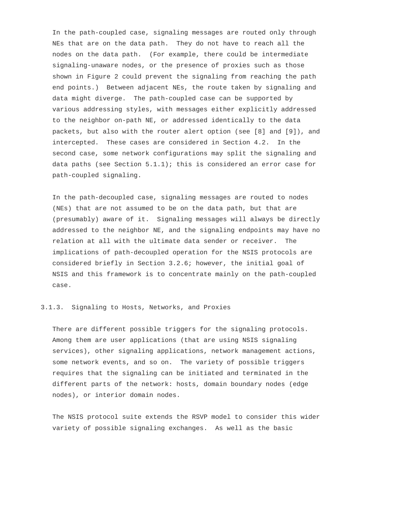In the path-coupled case, signaling messages are routed only through NEs that are on the data path. They do not have to reach all the nodes on the data path. (For example, there could be intermediate signaling-unaware nodes, or the presence of proxies such as those shown in Figure 2 could prevent the signaling from reaching the path end points.) Between adjacent NEs, the route taken by signaling and data might diverge. The path-coupled case can be supported by various addressing styles, with messages either explicitly addressed to the neighbor on-path NE, or addressed identically to the data packets, but also with the router alert option (see [8] and [9]), and intercepted. These cases are considered in Section 4.2. In the second case, some network configurations may split the signaling and data paths (see Section  $5.1.1$ ); this is considered an error case for path-coupled signaling.

 In the path-decoupled case, signaling messages are routed to nodes (NEs) that are not assumed to be on the data path, but that are (presumably) aware of it. Signaling messages will always be directly addressed to the neighbor NE, and the signaling endpoints may have no relation at all with the ultimate data sender or receiver. The implications of path-decoupled operation for the NSIS protocols are considered briefly in Section 3.2.6; however, the initial goal of NSIS and this framework is to concentrate mainly on the path-coupled case.

## 3.1.3. Signaling to Hosts, Networks, and Proxies

 There are different possible triggers for the signaling protocols. Among them are user applications (that are using NSIS signaling services), other signaling applications, network management actions, some network events, and so on. The variety of possible triggers requires that the signaling can be initiated and terminated in the different parts of the network: hosts, domain boundary nodes (edge nodes), or interior domain nodes.

 The NSIS protocol suite extends the RSVP model to consider this wider variety of possible signaling exchanges. As well as the basic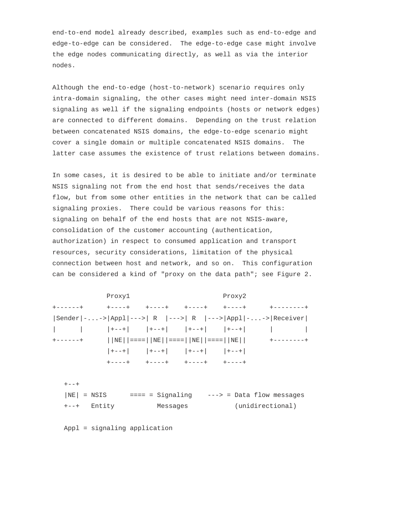end-to-end model already described, examples such as end-to-edge and edge-to-edge can be considered. The edge-to-edge case might involve the edge nodes communicating directly, as well as via the interior nodes.

 Although the end-to-edge (host-to-network) scenario requires only intra-domain signaling, the other cases might need inter-domain NSIS signaling as well if the signaling endpoints (hosts or network edges) are connected to different domains. Depending on the trust relation between concatenated NSIS domains, the edge-to-edge scenario might cover a single domain or multiple concatenated NSIS domains. The latter case assumes the existence of trust relations between domains.

 In some cases, it is desired to be able to initiate and/or terminate NSIS signaling not from the end host that sends/receives the data flow, but from some other entities in the network that can be called signaling proxies. There could be various reasons for this: signaling on behalf of the end hosts that are not NSIS-aware, consolidation of the customer accounting (authentication, authorization) in respect to consumed application and transport resources, security considerations, limitation of the physical connection between host and network, and so on. This configuration can be considered a kind of "proxy on the data path"; see Figure 2.

| Proxyl                                                                                                        |                                               | Proxy2 |                  |
|---------------------------------------------------------------------------------------------------------------|-----------------------------------------------|--------|------------------|
|                                                                                                               |                                               |        |                  |
| Sender $ \cdot $ -> $ $ Appl $ \cdot $ --> $ R$ $ $ ---> $ R$ $ $ ---> $ $ Appl $ \cdot $ -> $ $ Receiver $ $ |                                               |        |                  |
|                                                                                                               | │ │+−−+│ │+−−+│ │+−−+│ │+−−+│ │               |        |                  |
|                                                                                                               |                                               |        |                  |
|                                                                                                               | $ +---+ $ $ +---+ $ $ +---+ $ $ +---+ $       |        |                  |
|                                                                                                               | +----+ +----+ +----+ +----+                   |        |                  |
|                                                                                                               |                                               |        |                  |
| $+ - - +$                                                                                                     |                                               |        |                  |
| $ NE $ = NSIS                                                                                                 | ==== = Signaling    ---> = Data flow messages |        |                  |
| +--+ Entity                                                                                                   | Messages                                      |        | (unidirectional) |
|                                                                                                               |                                               |        |                  |
|                                                                                                               |                                               |        |                  |

Appl = signaling application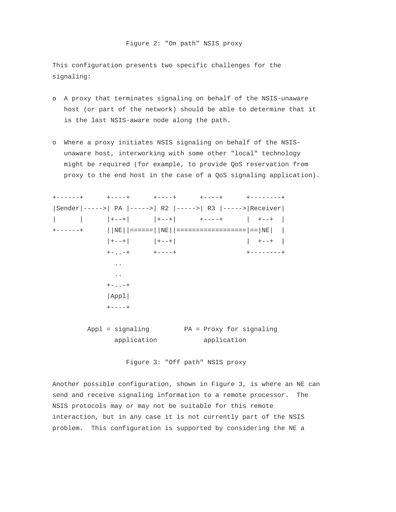This configuration presents two specific challenges for the signaling:

- o A proxy that terminates signaling on behalf of the NSIS-unaware host (or part of the network) should be able to determine that it is the last NSIS-aware node along the path.
- o Where a proxy initiates NSIS signaling on behalf of the NSIS unaware host, interworking with some other "local" technology might be required (for example, to provide QoS reservation from proxy to the end host in the case of a QoS signaling application).



Figure 3: "Off path" NSIS proxy

 Another possible configuration, shown in Figure 3, is where an NE can send and receive signaling information to a remote processor. The NSIS protocols may or may not be suitable for this remote interaction, but in any case it is not currently part of the NSIS problem. This configuration is supported by considering the NE a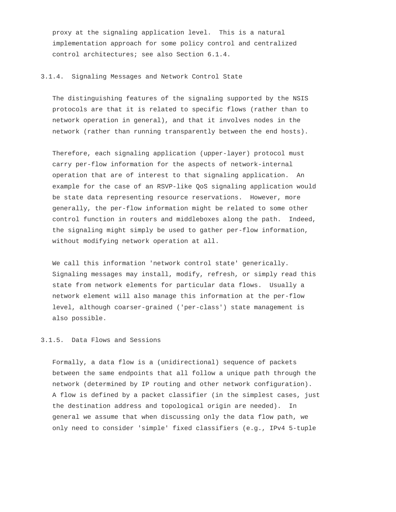proxy at the signaling application level. This is a natural implementation approach for some policy control and centralized control architectures; see also Section 6.1.4.

#### 3.1.4. Signaling Messages and Network Control State

 The distinguishing features of the signaling supported by the NSIS protocols are that it is related to specific flows (rather than to network operation in general), and that it involves nodes in the network (rather than running transparently between the end hosts).

 Therefore, each signaling application (upper-layer) protocol must carry per-flow information for the aspects of network-internal operation that are of interest to that signaling application. An example for the case of an RSVP-like QoS signaling application would be state data representing resource reservations. However, more generally, the per-flow information might be related to some other control function in routers and middleboxes along the path. Indeed, the signaling might simply be used to gather per-flow information, without modifying network operation at all.

 We call this information 'network control state' generically. Signaling messages may install, modify, refresh, or simply read this state from network elements for particular data flows. Usually a network element will also manage this information at the per-flow level, although coarser-grained ('per-class') state management is also possible.

# 3.1.5. Data Flows and Sessions

 Formally, a data flow is a (unidirectional) sequence of packets between the same endpoints that all follow a unique path through the network (determined by IP routing and other network configuration). A flow is defined by a packet classifier (in the simplest cases, just the destination address and topological origin are needed). In general we assume that when discussing only the data flow path, we only need to consider 'simple' fixed classifiers (e.g., IPv4 5-tuple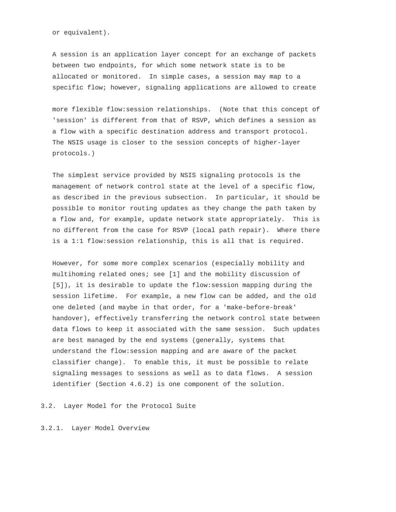or equivalent).

 A session is an application layer concept for an exchange of packets between two endpoints, for which some network state is to be allocated or monitored. In simple cases, a session may map to a specific flow; however, signaling applications are allowed to create

 more flexible flow:session relationships. (Note that this concept of 'session' is different from that of RSVP, which defines a session as a flow with a specific destination address and transport protocol. The NSIS usage is closer to the session concepts of higher-layer protocols.)

 The simplest service provided by NSIS signaling protocols is the management of network control state at the level of a specific flow, as described in the previous subsection. In particular, it should be possible to monitor routing updates as they change the path taken by a flow and, for example, update network state appropriately. This is no different from the case for RSVP (local path repair). Where there is a 1:1 flow:session relationship, this is all that is required.

 However, for some more complex scenarios (especially mobility and multihoming related ones; see [1] and the mobility discussion of [5]), it is desirable to update the flow:session mapping during the session lifetime. For example, a new flow can be added, and the old one deleted (and maybe in that order, for a 'make-before-break' handover), effectively transferring the network control state between data flows to keep it associated with the same session. Such updates are best managed by the end systems (generally, systems that understand the flow:session mapping and are aware of the packet classifier change). To enable this, it must be possible to relate signaling messages to sessions as well as to data flows. A session identifier (Section 4.6.2) is one component of the solution.

3.2. Layer Model for the Protocol Suite

3.2.1. Layer Model Overview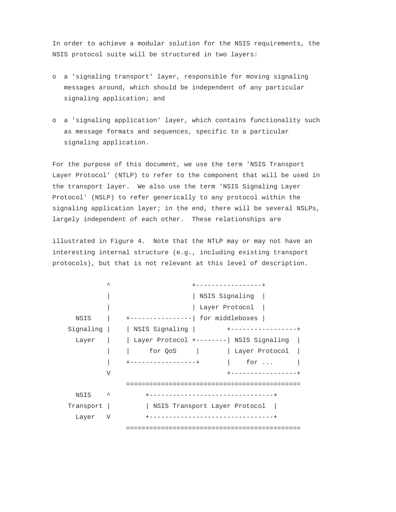In order to achieve a modular solution for the NSIS requirements, the NSIS protocol suite will be structured in two layers:

- o a 'signaling transport' layer, responsible for moving signaling messages around, which should be independent of any particular signaling application; and
- o a 'signaling application' layer, which contains functionality such as message formats and sequences, specific to a particular signaling application.

 For the purpose of this document, we use the term 'NSIS Transport Layer Protocol' (NTLP) to refer to the component that will be used in the transport layer. We also use the term 'NSIS Signaling Layer Protocol' (NSLP) to refer generically to any protocol within the signaling application layer; in the end, there will be several NSLPs, largely independent of each other. These relationships are

 illustrated in Figure 4. Note that the NTLP may or may not have an interesting internal structure (e.g., including existing transport protocols), but that is not relevant at this level of description.

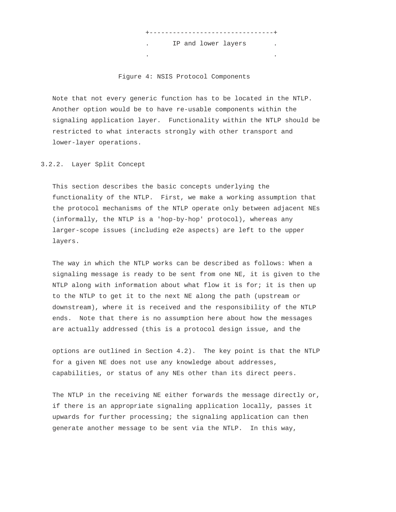IP and lower layers . .

+--------------------------------+

Figure 4: NSIS Protocol Components

 Note that not every generic function has to be located in the NTLP. Another option would be to have re-usable components within the signaling application layer. Functionality within the NTLP should be restricted to what interacts strongly with other transport and lower-layer operations.

3.2.2. Layer Split Concept

 This section describes the basic concepts underlying the functionality of the NTLP. First, we make a working assumption that the protocol mechanisms of the NTLP operate only between adjacent NEs (informally, the NTLP is a 'hop-by-hop' protocol), whereas any larger-scope issues (including e2e aspects) are left to the upper layers.

 The way in which the NTLP works can be described as follows: When a signaling message is ready to be sent from one NE, it is given to the NTLP along with information about what flow it is for; it is then up to the NTLP to get it to the next NE along the path (upstream or downstream), where it is received and the responsibility of the NTLP ends. Note that there is no assumption here about how the messages are actually addressed (this is a protocol design issue, and the

 options are outlined in Section 4.2). The key point is that the NTLP for a given NE does not use any knowledge about addresses, capabilities, or status of any NEs other than its direct peers.

 The NTLP in the receiving NE either forwards the message directly or, if there is an appropriate signaling application locally, passes it upwards for further processing; the signaling application can then generate another message to be sent via the NTLP. In this way,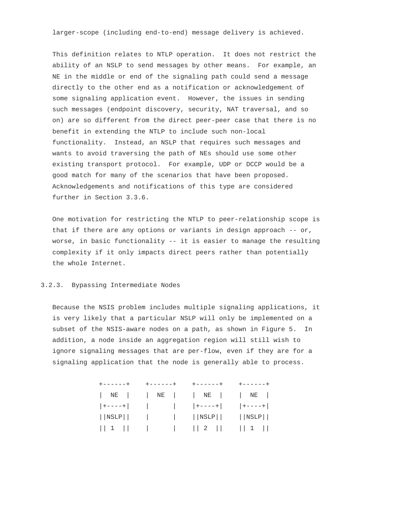larger-scope (including end-to-end) message delivery is achieved.

 This definition relates to NTLP operation. It does not restrict the ability of an NSLP to send messages by other means. For example, an NE in the middle or end of the signaling path could send a message directly to the other end as a notification or acknowledgement of some signaling application event. However, the issues in sending such messages (endpoint discovery, security, NAT traversal, and so on) are so different from the direct peer-peer case that there is no benefit in extending the NTLP to include such non-local functionality. Instead, an NSLP that requires such messages and wants to avoid traversing the path of NEs should use some other existing transport protocol. For example, UDP or DCCP would be a good match for many of the scenarios that have been proposed. Acknowledgements and notifications of this type are considered further in Section 3.3.6.

 One motivation for restricting the NTLP to peer-relationship scope is that if there are any options or variants in design approach -- or, worse, in basic functionality -- it is easier to manage the resulting complexity if it only impacts direct peers rather than potentially the whole Internet.

# 3.2.3. Bypassing Intermediate Nodes

 Because the NSIS problem includes multiple signaling applications, it is very likely that a particular NSLP will only be implemented on a subset of the NSIS-aware nodes on a path, as shown in Figure 5. In addition, a node inside an aggregation region will still wish to ignore signaling messages that are per-flow, even if they are for a signaling application that the node is generally able to process.

| $+ - - - - - +$ | $+ - - - - - +$ |                                                                 |  |
|-----------------|-----------------|-----------------------------------------------------------------|--|
|                 |                 | NE     NE     NE     NE                                         |  |
|                 |                 | $ +---+ $ $ $ $ $ $ +---+ $ $ +---+ $                           |  |
|                 |                 | $ \text{NSLP} $ $ \text{NSLP} $ $ \text{NSLP} $ $ \text{NSLP} $ |  |
|                 |                 | $  1  $ $  2  $ $  2  $ $  1  $                                 |  |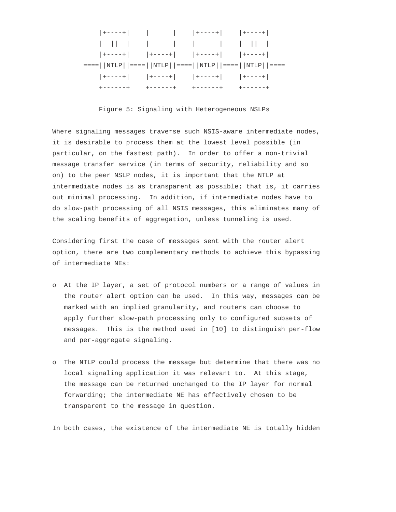

Figure 5: Signaling with Heterogeneous NSLPs

 Where signaling messages traverse such NSIS-aware intermediate nodes, it is desirable to process them at the lowest level possible (in particular, on the fastest path). In order to offer a non-trivial message transfer service (in terms of security, reliability and so on) to the peer NSLP nodes, it is important that the NTLP at intermediate nodes is as transparent as possible; that is, it carries out minimal processing. In addition, if intermediate nodes have to do slow-path processing of all NSIS messages, this eliminates many of the scaling benefits of aggregation, unless tunneling is used.

 Considering first the case of messages sent with the router alert option, there are two complementary methods to achieve this bypassing of intermediate NEs:

- o At the IP layer, a set of protocol numbers or a range of values in the router alert option can be used. In this way, messages can be marked with an implied granularity, and routers can choose to apply further slow-path processing only to configured subsets of messages. This is the method used in [10] to distinguish per-flow and per-aggregate signaling.
- o The NTLP could process the message but determine that there was no local signaling application it was relevant to. At this stage, the message can be returned unchanged to the IP layer for normal forwarding; the intermediate NE has effectively chosen to be transparent to the message in question.

In both cases, the existence of the intermediate NE is totally hidden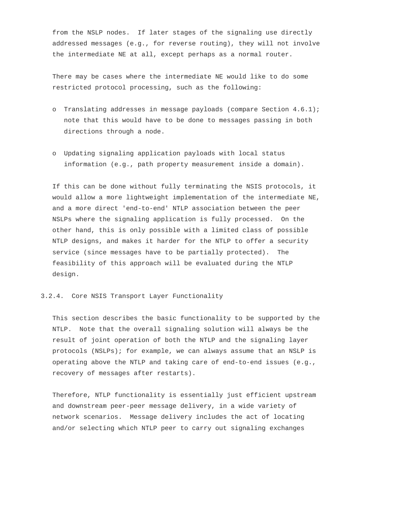from the NSLP nodes. If later stages of the signaling use directly addressed messages (e.g., for reverse routing), they will not involve the intermediate NE at all, except perhaps as a normal router.

 There may be cases where the intermediate NE would like to do some restricted protocol processing, such as the following:

- o Translating addresses in message payloads (compare Section 4.6.1); note that this would have to be done to messages passing in both directions through a node.
- o Updating signaling application payloads with local status information (e.g., path property measurement inside a domain).

 If this can be done without fully terminating the NSIS protocols, it would allow a more lightweight implementation of the intermediate NE, and a more direct 'end-to-end' NTLP association between the peer NSLPs where the signaling application is fully processed. On the other hand, this is only possible with a limited class of possible NTLP designs, and makes it harder for the NTLP to offer a security service (since messages have to be partially protected). The feasibility of this approach will be evaluated during the NTLP design.

#### 3.2.4. Core NSIS Transport Layer Functionality

 This section describes the basic functionality to be supported by the NTLP. Note that the overall signaling solution will always be the result of joint operation of both the NTLP and the signaling layer protocols (NSLPs); for example, we can always assume that an NSLP is operating above the NTLP and taking care of end-to-end issues (e.g., recovery of messages after restarts).

 Therefore, NTLP functionality is essentially just efficient upstream and downstream peer-peer message delivery, in a wide variety of network scenarios. Message delivery includes the act of locating and/or selecting which NTLP peer to carry out signaling exchanges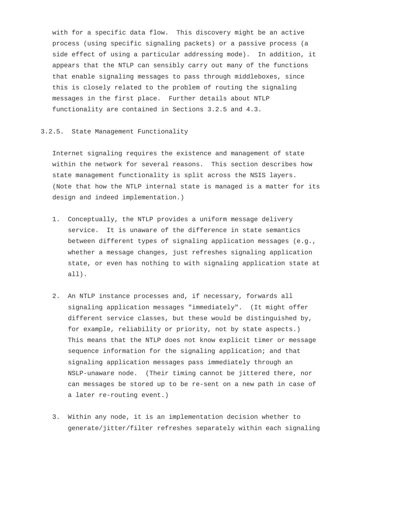with for a specific data flow. This discovery might be an active process (using specific signaling packets) or a passive process (a side effect of using a particular addressing mode). In addition, it appears that the NTLP can sensibly carry out many of the functions that enable signaling messages to pass through middleboxes, since this is closely related to the problem of routing the signaling messages in the first place. Further details about NTLP functionality are contained in Sections 3.2.5 and 4.3.

### 3.2.5. State Management Functionality

 Internet signaling requires the existence and management of state within the network for several reasons. This section describes how state management functionality is split across the NSIS layers. (Note that how the NTLP internal state is managed is a matter for its design and indeed implementation.)

- 1. Conceptually, the NTLP provides a uniform message delivery service. It is unaware of the difference in state semantics between different types of signaling application messages (e.g., whether a message changes, just refreshes signaling application state, or even has nothing to with signaling application state at all).
- 2. An NTLP instance processes and, if necessary, forwards all signaling application messages "immediately". (It might offer different service classes, but these would be distinguished by, for example, reliability or priority, not by state aspects.) This means that the NTLP does not know explicit timer or message sequence information for the signaling application; and that signaling application messages pass immediately through an NSLP-unaware node. (Their timing cannot be jittered there, nor can messages be stored up to be re-sent on a new path in case of a later re-routing event.)
- 3. Within any node, it is an implementation decision whether to generate/jitter/filter refreshes separately within each signaling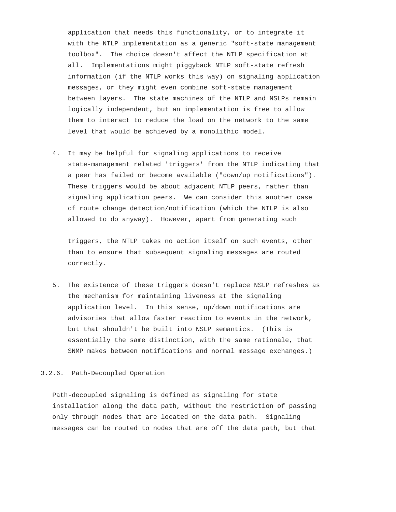application that needs this functionality, or to integrate it with the NTLP implementation as a generic "soft-state management toolbox". The choice doesn't affect the NTLP specification at all. Implementations might piggyback NTLP soft-state refresh information (if the NTLP works this way) on signaling application messages, or they might even combine soft-state management between layers. The state machines of the NTLP and NSLPs remain logically independent, but an implementation is free to allow them to interact to reduce the load on the network to the same level that would be achieved by a monolithic model.

 4. It may be helpful for signaling applications to receive state-management related 'triggers' from the NTLP indicating that a peer has failed or become available ("down/up notifications"). These triggers would be about adjacent NTLP peers, rather than signaling application peers. We can consider this another case of route change detection/notification (which the NTLP is also allowed to do anyway). However, apart from generating such

 triggers, the NTLP takes no action itself on such events, other than to ensure that subsequent signaling messages are routed correctly.

 5. The existence of these triggers doesn't replace NSLP refreshes as the mechanism for maintaining liveness at the signaling application level. In this sense, up/down notifications are advisories that allow faster reaction to events in the network, but that shouldn't be built into NSLP semantics. (This is essentially the same distinction, with the same rationale, that SNMP makes between notifications and normal message exchanges.)

#### 3.2.6. Path-Decoupled Operation

 Path-decoupled signaling is defined as signaling for state installation along the data path, without the restriction of passing only through nodes that are located on the data path. Signaling messages can be routed to nodes that are off the data path, but that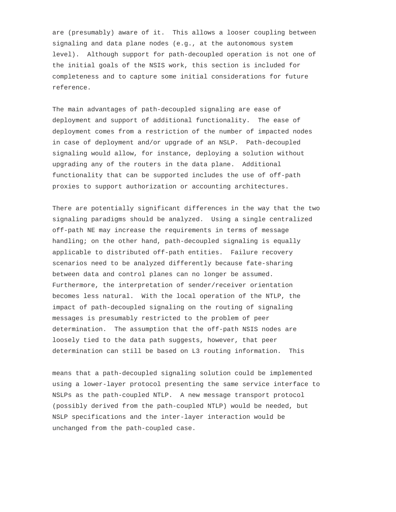are (presumably) aware of it. This allows a looser coupling between signaling and data plane nodes (e.g., at the autonomous system level). Although support for path-decoupled operation is not one of the initial goals of the NSIS work, this section is included for completeness and to capture some initial considerations for future reference.

 The main advantages of path-decoupled signaling are ease of deployment and support of additional functionality. The ease of deployment comes from a restriction of the number of impacted nodes in case of deployment and/or upgrade of an NSLP. Path-decoupled signaling would allow, for instance, deploying a solution without upgrading any of the routers in the data plane. Additional functionality that can be supported includes the use of off-path proxies to support authorization or accounting architectures.

 There are potentially significant differences in the way that the two signaling paradigms should be analyzed. Using a single centralized off-path NE may increase the requirements in terms of message handling; on the other hand, path-decoupled signaling is equally applicable to distributed off-path entities. Failure recovery scenarios need to be analyzed differently because fate-sharing between data and control planes can no longer be assumed. Furthermore, the interpretation of sender/receiver orientation becomes less natural. With the local operation of the NTLP, the impact of path-decoupled signaling on the routing of signaling messages is presumably restricted to the problem of peer determination. The assumption that the off-path NSIS nodes are loosely tied to the data path suggests, however, that peer determination can still be based on L3 routing information. This

 means that a path-decoupled signaling solution could be implemented using a lower-layer protocol presenting the same service interface to NSLPs as the path-coupled NTLP. A new message transport protocol (possibly derived from the path-coupled NTLP) would be needed, but NSLP specifications and the inter-layer interaction would be unchanged from the path-coupled case.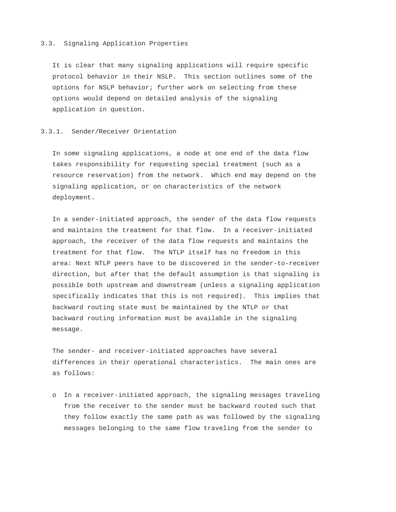### 3.3. Signaling Application Properties

 It is clear that many signaling applications will require specific protocol behavior in their NSLP. This section outlines some of the options for NSLP behavior; further work on selecting from these options would depend on detailed analysis of the signaling application in question.

#### 3.3.1. Sender/Receiver Orientation

 In some signaling applications, a node at one end of the data flow takes responsibility for requesting special treatment (such as a resource reservation) from the network. Which end may depend on the signaling application, or on characteristics of the network deployment.

 In a sender-initiated approach, the sender of the data flow requests and maintains the treatment for that flow. In a receiver-initiated approach, the receiver of the data flow requests and maintains the treatment for that flow. The NTLP itself has no freedom in this area: Next NTLP peers have to be discovered in the sender-to-receiver direction, but after that the default assumption is that signaling is possible both upstream and downstream (unless a signaling application specifically indicates that this is not required). This implies that backward routing state must be maintained by the NTLP or that backward routing information must be available in the signaling message.

 The sender- and receiver-initiated approaches have several differences in their operational characteristics. The main ones are as follows:

 o In a receiver-initiated approach, the signaling messages traveling from the receiver to the sender must be backward routed such that they follow exactly the same path as was followed by the signaling messages belonging to the same flow traveling from the sender to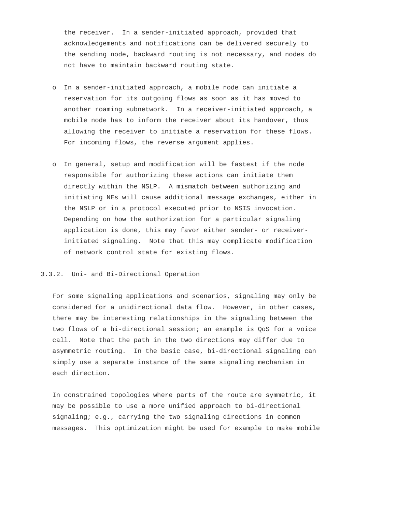the receiver. In a sender-initiated approach, provided that acknowledgements and notifications can be delivered securely to the sending node, backward routing is not necessary, and nodes do not have to maintain backward routing state.

- o In a sender-initiated approach, a mobile node can initiate a reservation for its outgoing flows as soon as it has moved to another roaming subnetwork. In a receiver-initiated approach, a mobile node has to inform the receiver about its handover, thus allowing the receiver to initiate a reservation for these flows. For incoming flows, the reverse argument applies.
- o In general, setup and modification will be fastest if the node responsible for authorizing these actions can initiate them directly within the NSLP. A mismatch between authorizing and initiating NEs will cause additional message exchanges, either in the NSLP or in a protocol executed prior to NSIS invocation. Depending on how the authorization for a particular signaling application is done, this may favor either sender- or receiver initiated signaling. Note that this may complicate modification of network control state for existing flows.

#### 3.3.2. Uni- and Bi-Directional Operation

 For some signaling applications and scenarios, signaling may only be considered for a unidirectional data flow. However, in other cases, there may be interesting relationships in the signaling between the two flows of a bi-directional session; an example is QoS for a voice call. Note that the path in the two directions may differ due to asymmetric routing. In the basic case, bi-directional signaling can simply use a separate instance of the same signaling mechanism in each direction.

 In constrained topologies where parts of the route are symmetric, it may be possible to use a more unified approach to bi-directional signaling; e.g., carrying the two signaling directions in common messages. This optimization might be used for example to make mobile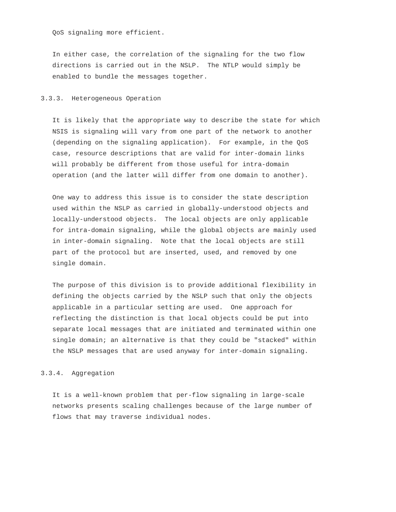QoS signaling more efficient.

 In either case, the correlation of the signaling for the two flow directions is carried out in the NSLP. The NTLP would simply be enabled to bundle the messages together.

# 3.3.3. Heterogeneous Operation

 It is likely that the appropriate way to describe the state for which NSIS is signaling will vary from one part of the network to another (depending on the signaling application). For example, in the QoS case, resource descriptions that are valid for inter-domain links will probably be different from those useful for intra-domain operation (and the latter will differ from one domain to another).

 One way to address this issue is to consider the state description used within the NSLP as carried in globally-understood objects and locally-understood objects. The local objects are only applicable for intra-domain signaling, while the global objects are mainly used in inter-domain signaling. Note that the local objects are still part of the protocol but are inserted, used, and removed by one single domain.

 The purpose of this division is to provide additional flexibility in defining the objects carried by the NSLP such that only the objects applicable in a particular setting are used. One approach for reflecting the distinction is that local objects could be put into separate local messages that are initiated and terminated within one single domain; an alternative is that they could be "stacked" within the NSLP messages that are used anyway for inter-domain signaling.

### 3.3.4. Aggregation

 It is a well-known problem that per-flow signaling in large-scale networks presents scaling challenges because of the large number of flows that may traverse individual nodes.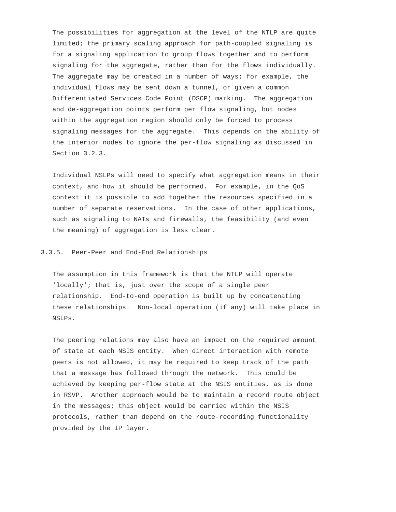The possibilities for aggregation at the level of the NTLP are quite limited; the primary scaling approach for path-coupled signaling is for a signaling application to group flows together and to perform signaling for the aggregate, rather than for the flows individually. The aggregate may be created in a number of ways; for example, the individual flows may be sent down a tunnel, or given a common Differentiated Services Code Point (DSCP) marking. The aggregation and de-aggregation points perform per flow signaling, but nodes within the aggregation region should only be forced to process signaling messages for the aggregate. This depends on the ability of the interior nodes to ignore the per-flow signaling as discussed in Section 3.2.3.

 Individual NSLPs will need to specify what aggregation means in their context, and how it should be performed. For example, in the QoS context it is possible to add together the resources specified in a number of separate reservations. In the case of other applications, such as signaling to NATs and firewalls, the feasibility (and even the meaning) of aggregation is less clear.

# 3.3.5. Peer-Peer and End-End Relationships

 The assumption in this framework is that the NTLP will operate 'locally'; that is, just over the scope of a single peer relationship. End-to-end operation is built up by concatenating these relationships. Non-local operation (if any) will take place in NSLPs.

 The peering relations may also have an impact on the required amount of state at each NSIS entity. When direct interaction with remote peers is not allowed, it may be required to keep track of the path that a message has followed through the network. This could be achieved by keeping per-flow state at the NSIS entities, as is done in RSVP. Another approach would be to maintain a record route object in the messages; this object would be carried within the NSIS protocols, rather than depend on the route-recording functionality provided by the IP layer.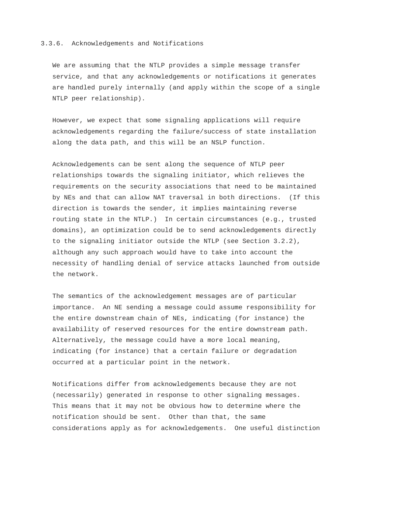### 3.3.6. Acknowledgements and Notifications

 We are assuming that the NTLP provides a simple message transfer service, and that any acknowledgements or notifications it generates are handled purely internally (and apply within the scope of a single NTLP peer relationship).

 However, we expect that some signaling applications will require acknowledgements regarding the failure/success of state installation along the data path, and this will be an NSLP function.

 Acknowledgements can be sent along the sequence of NTLP peer relationships towards the signaling initiator, which relieves the requirements on the security associations that need to be maintained by NEs and that can allow NAT traversal in both directions. (If this direction is towards the sender, it implies maintaining reverse routing state in the NTLP.) In certain circumstances (e.g., trusted domains), an optimization could be to send acknowledgements directly to the signaling initiator outside the NTLP (see Section 3.2.2), although any such approach would have to take into account the necessity of handling denial of service attacks launched from outside the network.

 The semantics of the acknowledgement messages are of particular importance. An NE sending a message could assume responsibility for the entire downstream chain of NEs, indicating (for instance) the availability of reserved resources for the entire downstream path. Alternatively, the message could have a more local meaning, indicating (for instance) that a certain failure or degradation occurred at a particular point in the network.

 Notifications differ from acknowledgements because they are not (necessarily) generated in response to other signaling messages. This means that it may not be obvious how to determine where the notification should be sent. Other than that, the same considerations apply as for acknowledgements. One useful distinction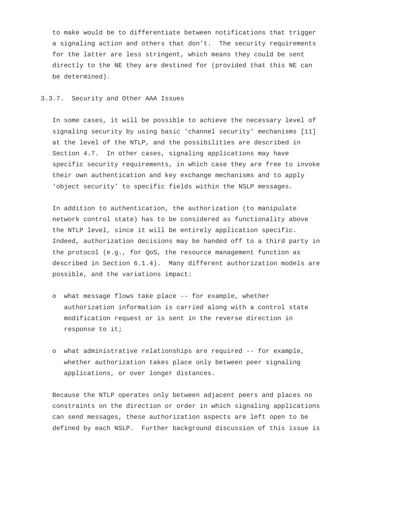to make would be to differentiate between notifications that trigger a signaling action and others that don't. The security requirements for the latter are less stringent, which means they could be sent directly to the NE they are destined for (provided that this NE can be determined).

# 3.3.7. Security and Other AAA Issues

 In some cases, it will be possible to achieve the necessary level of signaling security by using basic 'channel security' mechanisms [11] at the level of the NTLP, and the possibilities are described in Section 4.7. In other cases, signaling applications may have specific security requirements, in which case they are free to invoke their own authentication and key exchange mechanisms and to apply 'object security' to specific fields within the NSLP messages.

 In addition to authentication, the authorization (to manipulate network control state) has to be considered as functionality above the NTLP level, since it will be entirely application specific. Indeed, authorization decisions may be handed off to a third party in the protocol (e.g., for QoS, the resource management function as described in Section 6.1.4). Many different authorization models are possible, and the variations impact:

- o what message flows take place -- for example, whether authorization information is carried along with a control state modification request or is sent in the reverse direction in response to it;
- o what administrative relationships are required -- for example, whether authorization takes place only between peer signaling applications, or over longer distances.

 Because the NTLP operates only between adjacent peers and places no constraints on the direction or order in which signaling applications can send messages, these authorization aspects are left open to be defined by each NSLP. Further background discussion of this issue is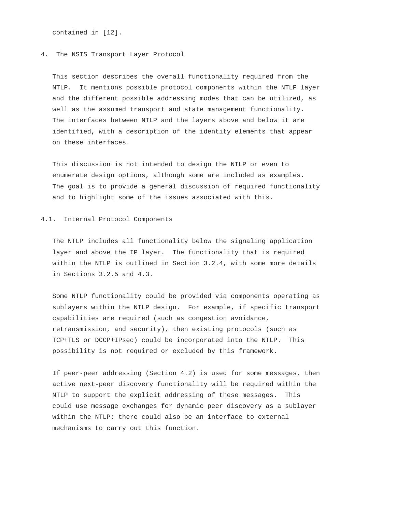contained in [12].

#### 4. The NSIS Transport Layer Protocol

 This section describes the overall functionality required from the NTLP. It mentions possible protocol components within the NTLP layer and the different possible addressing modes that can be utilized, as well as the assumed transport and state management functionality. The interfaces between NTLP and the layers above and below it are identified, with a description of the identity elements that appear on these interfaces.

 This discussion is not intended to design the NTLP or even to enumerate design options, although some are included as examples. The goal is to provide a general discussion of required functionality and to highlight some of the issues associated with this.

#### 4.1. Internal Protocol Components

 The NTLP includes all functionality below the signaling application layer and above the IP layer. The functionality that is required within the NTLP is outlined in Section 3.2.4, with some more details in Sections 3.2.5 and 4.3.

 Some NTLP functionality could be provided via components operating as sublayers within the NTLP design. For example, if specific transport capabilities are required (such as congestion avoidance, retransmission, and security), then existing protocols (such as TCP+TLS or DCCP+IPsec) could be incorporated into the NTLP. This possibility is not required or excluded by this framework.

 If peer-peer addressing (Section 4.2) is used for some messages, then active next-peer discovery functionality will be required within the NTLP to support the explicit addressing of these messages. This could use message exchanges for dynamic peer discovery as a sublayer within the NTLP; there could also be an interface to external mechanisms to carry out this function.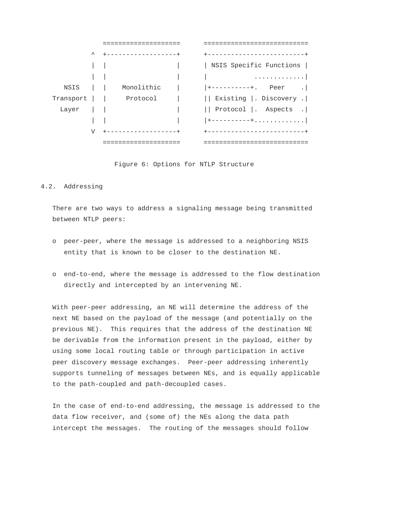

Figure 6: Options for NTLP Structure

# 4.2. Addressing

 There are two ways to address a signaling message being transmitted between NTLP peers:

- o peer-peer, where the message is addressed to a neighboring NSIS entity that is known to be closer to the destination NE.
- o end-to-end, where the message is addressed to the flow destination directly and intercepted by an intervening NE.

 With peer-peer addressing, an NE will determine the address of the next NE based on the payload of the message (and potentially on the previous NE). This requires that the address of the destination NE be derivable from the information present in the payload, either by using some local routing table or through participation in active peer discovery message exchanges. Peer-peer addressing inherently supports tunneling of messages between NEs, and is equally applicable to the path-coupled and path-decoupled cases.

 In the case of end-to-end addressing, the message is addressed to the data flow receiver, and (some of) the NEs along the data path intercept the messages. The routing of the messages should follow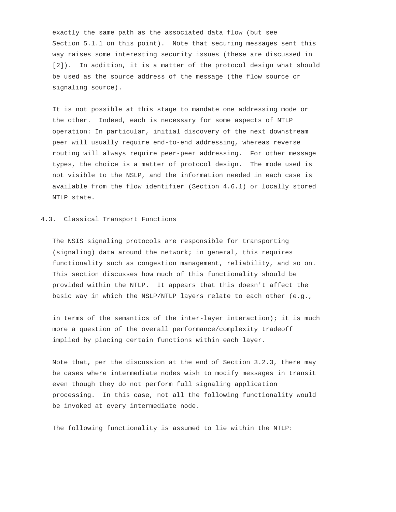exactly the same path as the associated data flow (but see Section 5.1.1 on this point). Note that securing messages sent this way raises some interesting security issues (these are discussed in [2]). In addition, it is a matter of the protocol design what should be used as the source address of the message (the flow source or signaling source).

 It is not possible at this stage to mandate one addressing mode or the other. Indeed, each is necessary for some aspects of NTLP operation: In particular, initial discovery of the next downstream peer will usually require end-to-end addressing, whereas reverse routing will always require peer-peer addressing. For other message types, the choice is a matter of protocol design. The mode used is not visible to the NSLP, and the information needed in each case is available from the flow identifier (Section 4.6.1) or locally stored NTLP state.

#### 4.3. Classical Transport Functions

 The NSIS signaling protocols are responsible for transporting (signaling) data around the network; in general, this requires functionality such as congestion management, reliability, and so on. This section discusses how much of this functionality should be provided within the NTLP. It appears that this doesn't affect the basic way in which the NSLP/NTLP layers relate to each other (e.g.,

 in terms of the semantics of the inter-layer interaction); it is much more a question of the overall performance/complexity tradeoff implied by placing certain functions within each layer.

 Note that, per the discussion at the end of Section 3.2.3, there may be cases where intermediate nodes wish to modify messages in transit even though they do not perform full signaling application processing. In this case, not all the following functionality would be invoked at every intermediate node.

The following functionality is assumed to lie within the NTLP: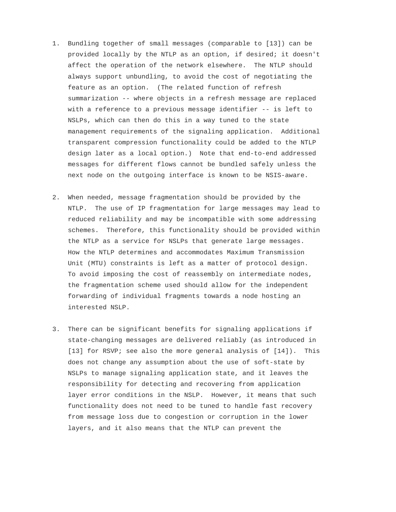- 1. Bundling together of small messages (comparable to [13]) can be provided locally by the NTLP as an option, if desired; it doesn't affect the operation of the network elsewhere. The NTLP should always support unbundling, to avoid the cost of negotiating the feature as an option. (The related function of refresh summarization -- where objects in a refresh message are replaced with a reference to a previous message identifier -- is left to NSLPs, which can then do this in a way tuned to the state management requirements of the signaling application. Additional transparent compression functionality could be added to the NTLP design later as a local option.) Note that end-to-end addressed messages for different flows cannot be bundled safely unless the next node on the outgoing interface is known to be NSIS-aware.
- 2. When needed, message fragmentation should be provided by the NTLP. The use of IP fragmentation for large messages may lead to reduced reliability and may be incompatible with some addressing schemes. Therefore, this functionality should be provided within the NTLP as a service for NSLPs that generate large messages. How the NTLP determines and accommodates Maximum Transmission Unit (MTU) constraints is left as a matter of protocol design. To avoid imposing the cost of reassembly on intermediate nodes, the fragmentation scheme used should allow for the independent forwarding of individual fragments towards a node hosting an interested NSLP.
- 3. There can be significant benefits for signaling applications if state-changing messages are delivered reliably (as introduced in [13] for RSVP; see also the more general analysis of  $[14]$ ). This does not change any assumption about the use of soft-state by NSLPs to manage signaling application state, and it leaves the responsibility for detecting and recovering from application layer error conditions in the NSLP. However, it means that such functionality does not need to be tuned to handle fast recovery from message loss due to congestion or corruption in the lower layers, and it also means that the NTLP can prevent the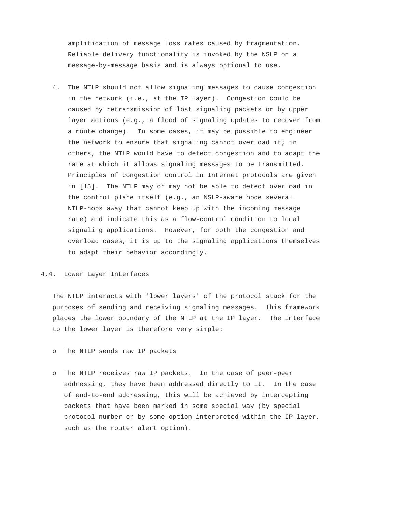amplification of message loss rates caused by fragmentation. Reliable delivery functionality is invoked by the NSLP on a message-by-message basis and is always optional to use.

 4. The NTLP should not allow signaling messages to cause congestion in the network (i.e., at the IP layer). Congestion could be caused by retransmission of lost signaling packets or by upper layer actions (e.g., a flood of signaling updates to recover from a route change). In some cases, it may be possible to engineer the network to ensure that signaling cannot overload it; in others, the NTLP would have to detect congestion and to adapt the rate at which it allows signaling messages to be transmitted. Principles of congestion control in Internet protocols are given in [15]. The NTLP may or may not be able to detect overload in the control plane itself (e.g., an NSLP-aware node several NTLP-hops away that cannot keep up with the incoming message rate) and indicate this as a flow-control condition to local signaling applications. However, for both the congestion and overload cases, it is up to the signaling applications themselves to adapt their behavior accordingly.

#### 4.4. Lower Layer Interfaces

 The NTLP interacts with 'lower layers' of the protocol stack for the purposes of sending and receiving signaling messages. This framework places the lower boundary of the NTLP at the IP layer. The interface to the lower layer is therefore very simple:

- o The NTLP sends raw IP packets
- o The NTLP receives raw IP packets. In the case of peer-peer addressing, they have been addressed directly to it. In the case of end-to-end addressing, this will be achieved by intercepting packets that have been marked in some special way (by special protocol number or by some option interpreted within the IP layer, such as the router alert option).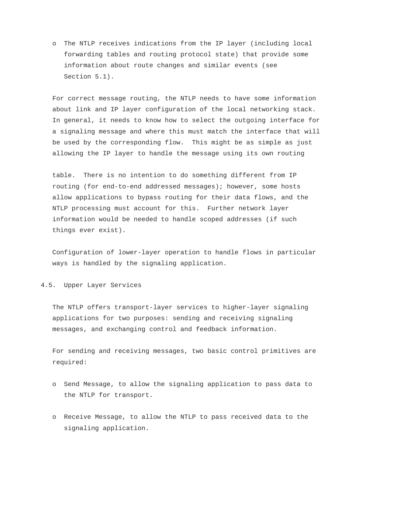o The NTLP receives indications from the IP layer (including local forwarding tables and routing protocol state) that provide some information about route changes and similar events (see Section 5.1).

 For correct message routing, the NTLP needs to have some information about link and IP layer configuration of the local networking stack. In general, it needs to know how to select the outgoing interface for a signaling message and where this must match the interface that will be used by the corresponding flow. This might be as simple as just allowing the IP layer to handle the message using its own routing

 table. There is no intention to do something different from IP routing (for end-to-end addressed messages); however, some hosts allow applications to bypass routing for their data flows, and the NTLP processing must account for this. Further network layer information would be needed to handle scoped addresses (if such things ever exist).

 Configuration of lower-layer operation to handle flows in particular ways is handled by the signaling application.

# 4.5. Upper Layer Services

 The NTLP offers transport-layer services to higher-layer signaling applications for two purposes: sending and receiving signaling messages, and exchanging control and feedback information.

 For sending and receiving messages, two basic control primitives are required:

- o Send Message, to allow the signaling application to pass data to the NTLP for transport.
- o Receive Message, to allow the NTLP to pass received data to the signaling application.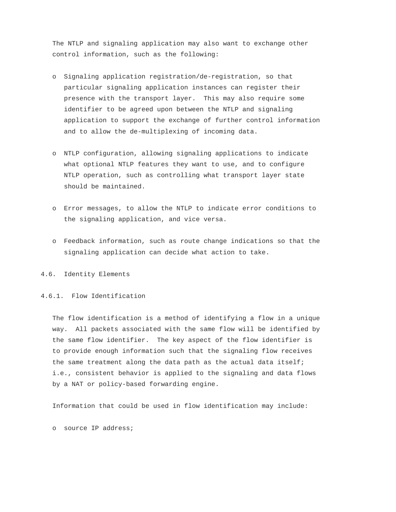The NTLP and signaling application may also want to exchange other control information, such as the following:

- o Signaling application registration/de-registration, so that particular signaling application instances can register their presence with the transport layer. This may also require some identifier to be agreed upon between the NTLP and signaling application to support the exchange of further control information and to allow the de-multiplexing of incoming data.
- o NTLP configuration, allowing signaling applications to indicate what optional NTLP features they want to use, and to configure NTLP operation, such as controlling what transport layer state should be maintained.
- o Error messages, to allow the NTLP to indicate error conditions to the signaling application, and vice versa.
- o Feedback information, such as route change indications so that the signaling application can decide what action to take.

4.6. Identity Elements

4.6.1. Flow Identification

 The flow identification is a method of identifying a flow in a unique way. All packets associated with the same flow will be identified by the same flow identifier. The key aspect of the flow identifier is to provide enough information such that the signaling flow receives the same treatment along the data path as the actual data itself; i.e., consistent behavior is applied to the signaling and data flows by a NAT or policy-based forwarding engine.

Information that could be used in flow identification may include:

o source IP address;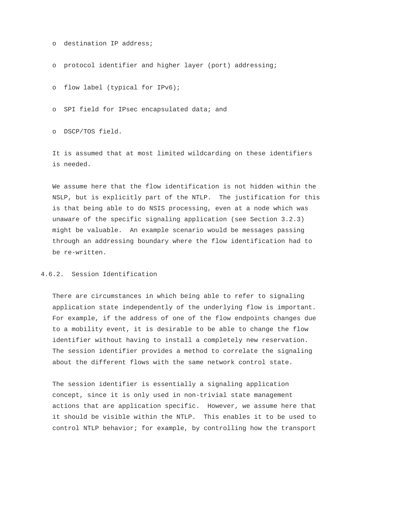```
 o destination IP address;
```
o protocol identifier and higher layer (port) addressing;

o flow label (typical for IPv6);

o SPI field for IPsec encapsulated data; and

o DSCP/TOS field.

 It is assumed that at most limited wildcarding on these identifiers is needed.

 We assume here that the flow identification is not hidden within the NSLP, but is explicitly part of the NTLP. The justification for this is that being able to do NSIS processing, even at a node which was unaware of the specific signaling application (see Section 3.2.3) might be valuable. An example scenario would be messages passing through an addressing boundary where the flow identification had to be re-written.

## 4.6.2. Session Identification

 There are circumstances in which being able to refer to signaling application state independently of the underlying flow is important. For example, if the address of one of the flow endpoints changes due to a mobility event, it is desirable to be able to change the flow identifier without having to install a completely new reservation. The session identifier provides a method to correlate the signaling about the different flows with the same network control state.

 The session identifier is essentially a signaling application concept, since it is only used in non-trivial state management actions that are application specific. However, we assume here that it should be visible within the NTLP. This enables it to be used to control NTLP behavior; for example, by controlling how the transport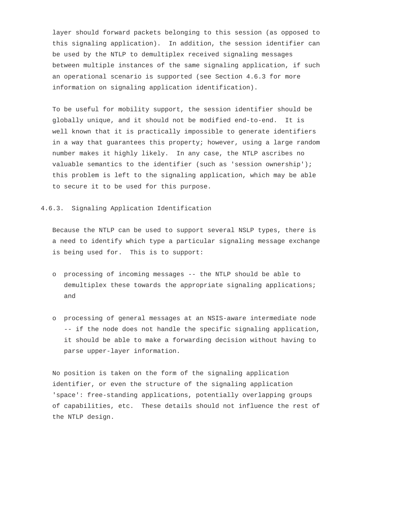layer should forward packets belonging to this session (as opposed to this signaling application). In addition, the session identifier can be used by the NTLP to demultiplex received signaling messages between multiple instances of the same signaling application, if such an operational scenario is supported (see Section 4.6.3 for more information on signaling application identification).

 To be useful for mobility support, the session identifier should be globally unique, and it should not be modified end-to-end. It is well known that it is practically impossible to generate identifiers in a way that guarantees this property; however, using a large random number makes it highly likely. In any case, the NTLP ascribes no valuable semantics to the identifier (such as 'session ownership'); this problem is left to the signaling application, which may be able to secure it to be used for this purpose.

#### 4.6.3. Signaling Application Identification

 Because the NTLP can be used to support several NSLP types, there is a need to identify which type a particular signaling message exchange is being used for. This is to support:

- o processing of incoming messages -- the NTLP should be able to demultiplex these towards the appropriate signaling applications; and
- o processing of general messages at an NSIS-aware intermediate node -- if the node does not handle the specific signaling application, it should be able to make a forwarding decision without having to parse upper-layer information.

 No position is taken on the form of the signaling application identifier, or even the structure of the signaling application 'space': free-standing applications, potentially overlapping groups of capabilities, etc. These details should not influence the rest of the NTLP design.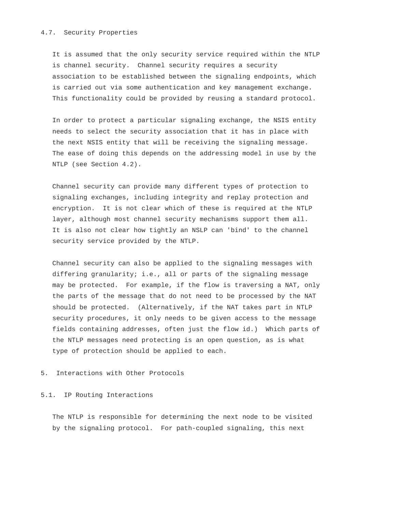### 4.7. Security Properties

 It is assumed that the only security service required within the NTLP is channel security. Channel security requires a security association to be established between the signaling endpoints, which is carried out via some authentication and key management exchange. This functionality could be provided by reusing a standard protocol.

 In order to protect a particular signaling exchange, the NSIS entity needs to select the security association that it has in place with the next NSIS entity that will be receiving the signaling message. The ease of doing this depends on the addressing model in use by the NTLP (see Section 4.2).

 Channel security can provide many different types of protection to signaling exchanges, including integrity and replay protection and encryption. It is not clear which of these is required at the NTLP layer, although most channel security mechanisms support them all. It is also not clear how tightly an NSLP can 'bind' to the channel security service provided by the NTLP.

 Channel security can also be applied to the signaling messages with differing granularity; i.e., all or parts of the signaling message may be protected. For example, if the flow is traversing a NAT, only the parts of the message that do not need to be processed by the NAT should be protected. (Alternatively, if the NAT takes part in NTLP security procedures, it only needs to be given access to the message fields containing addresses, often just the flow id.) Which parts of the NTLP messages need protecting is an open question, as is what type of protection should be applied to each.

# 5. Interactions with Other Protocols

#### 5.1. IP Routing Interactions

 The NTLP is responsible for determining the next node to be visited by the signaling protocol. For path-coupled signaling, this next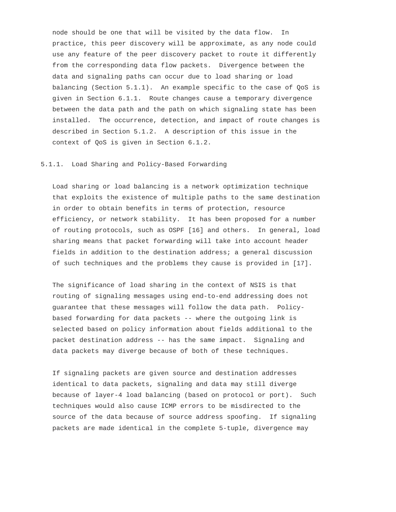node should be one that will be visited by the data flow. In practice, this peer discovery will be approximate, as any node could use any feature of the peer discovery packet to route it differently from the corresponding data flow packets. Divergence between the data and signaling paths can occur due to load sharing or load balancing (Section 5.1.1). An example specific to the case of QoS is given in Section 6.1.1. Route changes cause a temporary divergence between the data path and the path on which signaling state has been installed. The occurrence, detection, and impact of route changes is described in Section 5.1.2. A description of this issue in the context of QoS is given in Section 6.1.2.

### 5.1.1. Load Sharing and Policy-Based Forwarding

 Load sharing or load balancing is a network optimization technique that exploits the existence of multiple paths to the same destination in order to obtain benefits in terms of protection, resource efficiency, or network stability. It has been proposed for a number of routing protocols, such as OSPF [16] and others. In general, load sharing means that packet forwarding will take into account header fields in addition to the destination address; a general discussion of such techniques and the problems they cause is provided in [17].

 The significance of load sharing in the context of NSIS is that routing of signaling messages using end-to-end addressing does not guarantee that these messages will follow the data path. Policy based forwarding for data packets -- where the outgoing link is selected based on policy information about fields additional to the packet destination address -- has the same impact. Signaling and data packets may diverge because of both of these techniques.

 If signaling packets are given source and destination addresses identical to data packets, signaling and data may still diverge because of layer-4 load balancing (based on protocol or port). Such techniques would also cause ICMP errors to be misdirected to the source of the data because of source address spoofing. If signaling packets are made identical in the complete 5-tuple, divergence may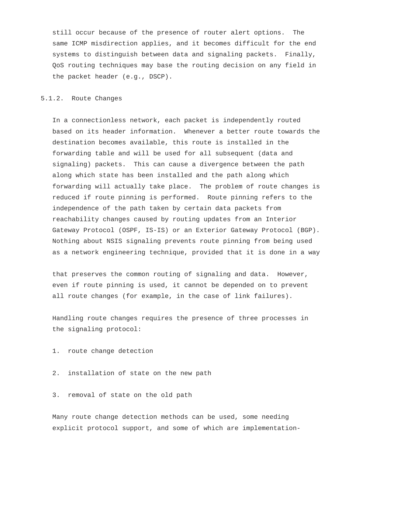still occur because of the presence of router alert options. The same ICMP misdirection applies, and it becomes difficult for the end systems to distinguish between data and signaling packets. Finally, QoS routing techniques may base the routing decision on any field in the packet header (e.g., DSCP).

# 5.1.2. Route Changes

 In a connectionless network, each packet is independently routed based on its header information. Whenever a better route towards the destination becomes available, this route is installed in the forwarding table and will be used for all subsequent (data and signaling) packets. This can cause a divergence between the path along which state has been installed and the path along which forwarding will actually take place. The problem of route changes is reduced if route pinning is performed. Route pinning refers to the independence of the path taken by certain data packets from reachability changes caused by routing updates from an Interior Gateway Protocol (OSPF, IS-IS) or an Exterior Gateway Protocol (BGP). Nothing about NSIS signaling prevents route pinning from being used as a network engineering technique, provided that it is done in a way

 that preserves the common routing of signaling and data. However, even if route pinning is used, it cannot be depended on to prevent all route changes (for example, in the case of link failures).

 Handling route changes requires the presence of three processes in the signaling protocol:

- 1. route change detection
- 2. installation of state on the new path
- 3. removal of state on the old path

 Many route change detection methods can be used, some needing explicit protocol support, and some of which are implementation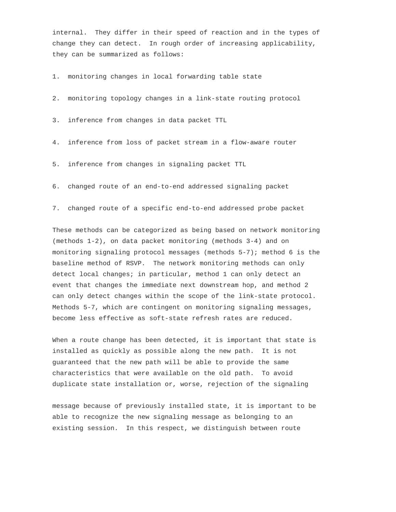internal. They differ in their speed of reaction and in the types of change they can detect. In rough order of increasing applicability, they can be summarized as follows:

1. monitoring changes in local forwarding table state

2. monitoring topology changes in a link-state routing protocol

3. inference from changes in data packet TTL

- 4. inference from loss of packet stream in a flow-aware router
- 5. inference from changes in signaling packet TTL
- 6. changed route of an end-to-end addressed signaling packet
- 7. changed route of a specific end-to-end addressed probe packet

 These methods can be categorized as being based on network monitoring (methods 1-2), on data packet monitoring (methods 3-4) and on monitoring signaling protocol messages (methods 5-7); method 6 is the baseline method of RSVP. The network monitoring methods can only detect local changes; in particular, method 1 can only detect an event that changes the immediate next downstream hop, and method 2 can only detect changes within the scope of the link-state protocol. Methods 5-7, which are contingent on monitoring signaling messages, become less effective as soft-state refresh rates are reduced.

 When a route change has been detected, it is important that state is installed as quickly as possible along the new path. It is not guaranteed that the new path will be able to provide the same characteristics that were available on the old path. To avoid duplicate state installation or, worse, rejection of the signaling

 message because of previously installed state, it is important to be able to recognize the new signaling message as belonging to an existing session. In this respect, we distinguish between route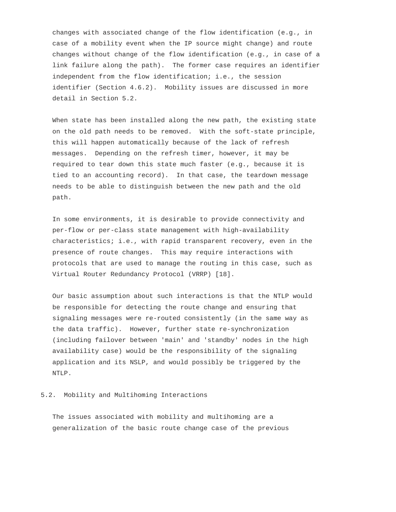changes with associated change of the flow identification (e.g., in case of a mobility event when the IP source might change) and route changes without change of the flow identification (e.g., in case of a link failure along the path). The former case requires an identifier independent from the flow identification; i.e., the session identifier (Section 4.6.2). Mobility issues are discussed in more detail in Section 5.2.

 When state has been installed along the new path, the existing state on the old path needs to be removed. With the soft-state principle, this will happen automatically because of the lack of refresh messages. Depending on the refresh timer, however, it may be required to tear down this state much faster (e.g., because it is tied to an accounting record). In that case, the teardown message needs to be able to distinguish between the new path and the old path.

 In some environments, it is desirable to provide connectivity and per-flow or per-class state management with high-availability characteristics; i.e., with rapid transparent recovery, even in the presence of route changes. This may require interactions with protocols that are used to manage the routing in this case, such as Virtual Router Redundancy Protocol (VRRP) [18].

 Our basic assumption about such interactions is that the NTLP would be responsible for detecting the route change and ensuring that signaling messages were re-routed consistently (in the same way as the data traffic). However, further state re-synchronization (including failover between 'main' and 'standby' nodes in the high availability case) would be the responsibility of the signaling application and its NSLP, and would possibly be triggered by the NTLP.

#### 5.2. Mobility and Multihoming Interactions

 The issues associated with mobility and multihoming are a generalization of the basic route change case of the previous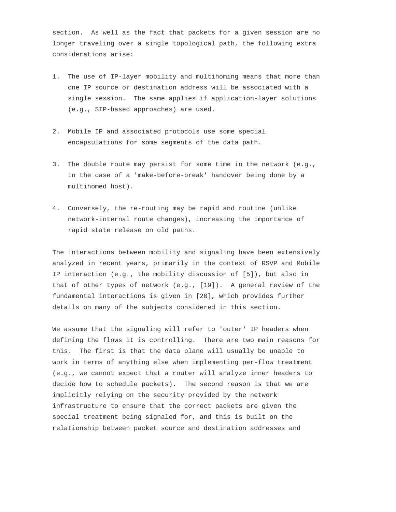section. As well as the fact that packets for a given session are no longer traveling over a single topological path, the following extra considerations arise:

- 1. The use of IP-layer mobility and multihoming means that more than one IP source or destination address will be associated with a single session. The same applies if application-layer solutions (e.g., SIP-based approaches) are used.
- 2. Mobile IP and associated protocols use some special encapsulations for some segments of the data path.
- 3. The double route may persist for some time in the network (e.g., in the case of a 'make-before-break' handover being done by a multihomed host).
- 4. Conversely, the re-routing may be rapid and routine (unlike network-internal route changes), increasing the importance of rapid state release on old paths.

 The interactions between mobility and signaling have been extensively analyzed in recent years, primarily in the context of RSVP and Mobile IP interaction (e.g., the mobility discussion of [5]), but also in that of other types of network (e.g., [19]). A general review of the fundamental interactions is given in [20], which provides further details on many of the subjects considered in this section.

 We assume that the signaling will refer to 'outer' IP headers when defining the flows it is controlling. There are two main reasons for this. The first is that the data plane will usually be unable to work in terms of anything else when implementing per-flow treatment (e.g., we cannot expect that a router will analyze inner headers to decide how to schedule packets). The second reason is that we are implicitly relying on the security provided by the network infrastructure to ensure that the correct packets are given the special treatment being signaled for, and this is built on the relationship between packet source and destination addresses and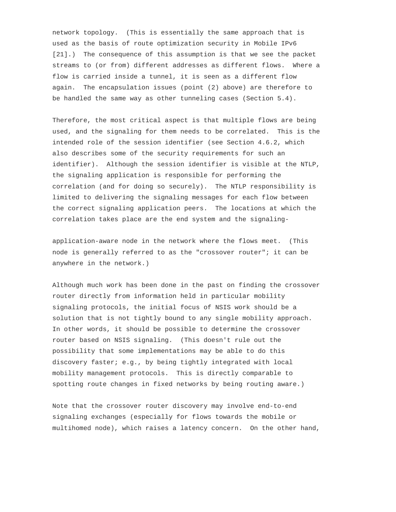network topology. (This is essentially the same approach that is used as the basis of route optimization security in Mobile IPv6 [21].) The consequence of this assumption is that we see the packet streams to (or from) different addresses as different flows. Where a flow is carried inside a tunnel, it is seen as a different flow again. The encapsulation issues (point (2) above) are therefore to be handled the same way as other tunneling cases (Section 5.4).

 Therefore, the most critical aspect is that multiple flows are being used, and the signaling for them needs to be correlated. This is the intended role of the session identifier (see Section 4.6.2, which also describes some of the security requirements for such an identifier). Although the session identifier is visible at the NTLP, the signaling application is responsible for performing the correlation (and for doing so securely). The NTLP responsibility is limited to delivering the signaling messages for each flow between the correct signaling application peers. The locations at which the correlation takes place are the end system and the signaling-

 application-aware node in the network where the flows meet. (This node is generally referred to as the "crossover router"; it can be anywhere in the network.)

 Although much work has been done in the past on finding the crossover router directly from information held in particular mobility signaling protocols, the initial focus of NSIS work should be a solution that is not tightly bound to any single mobility approach. In other words, it should be possible to determine the crossover router based on NSIS signaling. (This doesn't rule out the possibility that some implementations may be able to do this discovery faster; e.g., by being tightly integrated with local mobility management protocols. This is directly comparable to spotting route changes in fixed networks by being routing aware.)

 Note that the crossover router discovery may involve end-to-end signaling exchanges (especially for flows towards the mobile or multihomed node), which raises a latency concern. On the other hand,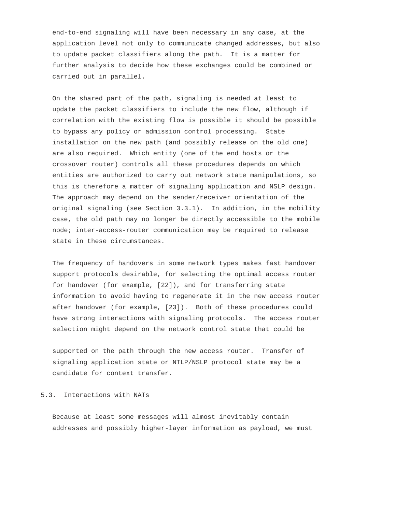end-to-end signaling will have been necessary in any case, at the application level not only to communicate changed addresses, but also to update packet classifiers along the path. It is a matter for further analysis to decide how these exchanges could be combined or carried out in parallel.

 On the shared part of the path, signaling is needed at least to update the packet classifiers to include the new flow, although if correlation with the existing flow is possible it should be possible to bypass any policy or admission control processing. State installation on the new path (and possibly release on the old one) are also required. Which entity (one of the end hosts or the crossover router) controls all these procedures depends on which entities are authorized to carry out network state manipulations, so this is therefore a matter of signaling application and NSLP design. The approach may depend on the sender/receiver orientation of the original signaling (see Section 3.3.1). In addition, in the mobility case, the old path may no longer be directly accessible to the mobile node; inter-access-router communication may be required to release state in these circumstances.

 The frequency of handovers in some network types makes fast handover support protocols desirable, for selecting the optimal access router for handover (for example, [22]), and for transferring state information to avoid having to regenerate it in the new access router after handover (for example, [23]). Both of these procedures could have strong interactions with signaling protocols. The access router selection might depend on the network control state that could be

 supported on the path through the new access router. Transfer of signaling application state or NTLP/NSLP protocol state may be a candidate for context transfer.

# 5.3. Interactions with NATs

 Because at least some messages will almost inevitably contain addresses and possibly higher-layer information as payload, we must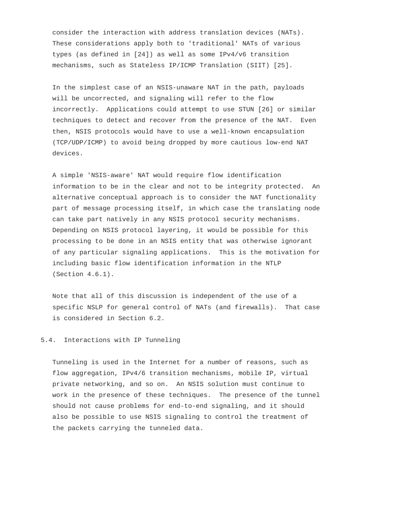consider the interaction with address translation devices (NATs). These considerations apply both to 'traditional' NATs of various types (as defined in [24]) as well as some IPv4/v6 transition mechanisms, such as Stateless IP/ICMP Translation (SIIT) [25].

 In the simplest case of an NSIS-unaware NAT in the path, payloads will be uncorrected, and signaling will refer to the flow incorrectly. Applications could attempt to use STUN [26] or similar techniques to detect and recover from the presence of the NAT. Even then, NSIS protocols would have to use a well-known encapsulation (TCP/UDP/ICMP) to avoid being dropped by more cautious low-end NAT devices.

 A simple 'NSIS-aware' NAT would require flow identification information to be in the clear and not to be integrity protected. An alternative conceptual approach is to consider the NAT functionality part of message processing itself, in which case the translating node can take part natively in any NSIS protocol security mechanisms. Depending on NSIS protocol layering, it would be possible for this processing to be done in an NSIS entity that was otherwise ignorant of any particular signaling applications. This is the motivation for including basic flow identification information in the NTLP (Section 4.6.1).

 Note that all of this discussion is independent of the use of a specific NSLP for general control of NATs (and firewalls). That case is considered in Section 6.2.

# 5.4. Interactions with IP Tunneling

 Tunneling is used in the Internet for a number of reasons, such as flow aggregation, IPv4/6 transition mechanisms, mobile IP, virtual private networking, and so on. An NSIS solution must continue to work in the presence of these techniques. The presence of the tunnel should not cause problems for end-to-end signaling, and it should also be possible to use NSIS signaling to control the treatment of the packets carrying the tunneled data.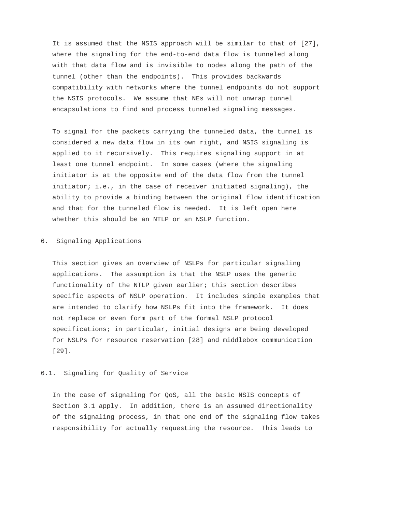It is assumed that the NSIS approach will be similar to that of [27], where the signaling for the end-to-end data flow is tunneled along with that data flow and is invisible to nodes along the path of the tunnel (other than the endpoints). This provides backwards compatibility with networks where the tunnel endpoints do not support the NSIS protocols. We assume that NEs will not unwrap tunnel encapsulations to find and process tunneled signaling messages.

 To signal for the packets carrying the tunneled data, the tunnel is considered a new data flow in its own right, and NSIS signaling is applied to it recursively. This requires signaling support in at least one tunnel endpoint. In some cases (where the signaling initiator is at the opposite end of the data flow from the tunnel initiator; i.e., in the case of receiver initiated signaling), the ability to provide a binding between the original flow identification and that for the tunneled flow is needed. It is left open here whether this should be an NTLP or an NSLP function.

# 6. Signaling Applications

 This section gives an overview of NSLPs for particular signaling applications. The assumption is that the NSLP uses the generic functionality of the NTLP given earlier; this section describes specific aspects of NSLP operation. It includes simple examples that are intended to clarify how NSLPs fit into the framework. It does not replace or even form part of the formal NSLP protocol specifications; in particular, initial designs are being developed for NSLPs for resource reservation [28] and middlebox communication [29].

# 6.1. Signaling for Quality of Service

 In the case of signaling for QoS, all the basic NSIS concepts of Section 3.1 apply. In addition, there is an assumed directionality of the signaling process, in that one end of the signaling flow takes responsibility for actually requesting the resource. This leads to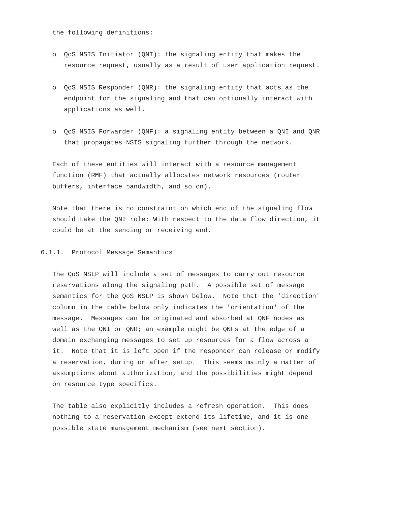the following definitions:

- o QoS NSIS Initiator (QNI): the signaling entity that makes the resource request, usually as a result of user application request.
- o QoS NSIS Responder (QNR): the signaling entity that acts as the endpoint for the signaling and that can optionally interact with applications as well.
- o QoS NSIS Forwarder (QNF): a signaling entity between a QNI and QNR that propagates NSIS signaling further through the network.

 Each of these entities will interact with a resource management function (RMF) that actually allocates network resources (router buffers, interface bandwidth, and so on).

 Note that there is no constraint on which end of the signaling flow should take the QNI role: With respect to the data flow direction, it could be at the sending or receiving end.

# 6.1.1. Protocol Message Semantics

 The QoS NSLP will include a set of messages to carry out resource reservations along the signaling path. A possible set of message semantics for the QoS NSLP is shown below. Note that the 'direction' column in the table below only indicates the 'orientation' of the message. Messages can be originated and absorbed at QNF nodes as well as the QNI or QNR; an example might be QNFs at the edge of a domain exchanging messages to set up resources for a flow across a it. Note that it is left open if the responder can release or modify a reservation, during or after setup. This seems mainly a matter of assumptions about authorization, and the possibilities might depend on resource type specifics.

 The table also explicitly includes a refresh operation. This does nothing to a reservation except extend its lifetime, and it is one possible state management mechanism (see next section).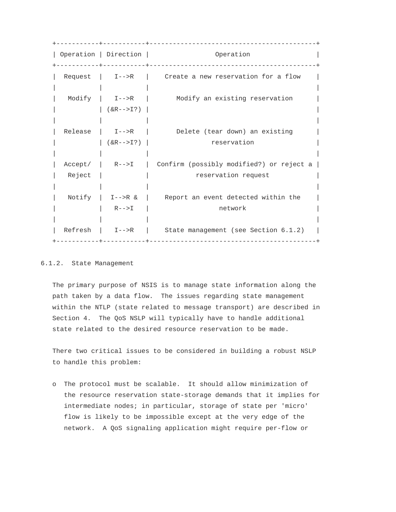+-----------+-----------+-------------------------------------------+ | Operation | Direction | Operation | +-----------+-----------+-------------------------------------------+ Request  $| I--\gt R$  | Create a new reservation for a flow | | | | Modify | I-->R | Modify an existing reservation  $|$  (  $&R-->I$  ? ) | | | | | Release | I-->R | Delete (tear down) an existing  $|$   $(kR-->I?)$  | reservation | | | | | Accept/ | R-->I | Confirm (possibly modified?) or reject a | Reject | | | reservation request | | | | Notify | I-->R  $\&$  | Report an event detected within the R-->I | network | | | |  $Refresh$  | I-->R | State management (see Section 6.1.2) +-----------+-----------+-------------------------------------------+

# 6.1.2. State Management

 The primary purpose of NSIS is to manage state information along the path taken by a data flow. The issues regarding state management within the NTLP (state related to message transport) are described in Section 4. The QoS NSLP will typically have to handle additional state related to the desired resource reservation to be made.

 There two critical issues to be considered in building a robust NSLP to handle this problem:

 o The protocol must be scalable. It should allow minimization of the resource reservation state-storage demands that it implies for intermediate nodes; in particular, storage of state per 'micro' flow is likely to be impossible except at the very edge of the network. A QoS signaling application might require per-flow or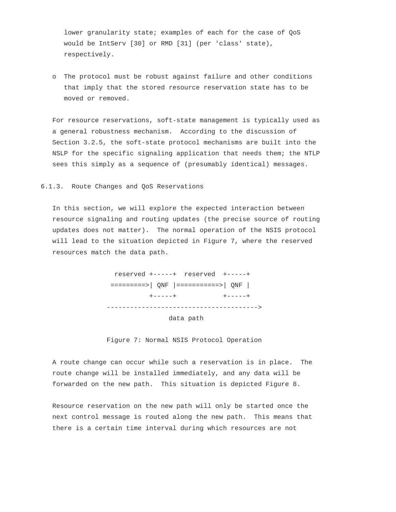lower granularity state; examples of each for the case of QoS would be IntServ [30] or RMD [31] (per 'class' state), respectively.

 o The protocol must be robust against failure and other conditions that imply that the stored resource reservation state has to be moved or removed.

 For resource reservations, soft-state management is typically used as a general robustness mechanism. According to the discussion of Section 3.2.5, the soft-state protocol mechanisms are built into the NSLP for the specific signaling application that needs them; the NTLP sees this simply as a sequence of (presumably identical) messages.

## 6.1.3. Route Changes and QoS Reservations

 In this section, we will explore the expected interaction between resource signaling and routing updates (the precise source of routing updates does not matter). The normal operation of the NSIS protocol will lead to the situation depicted in Figure 7, where the reserved resources match the data path.



data path

Figure 7: Normal NSIS Protocol Operation

 A route change can occur while such a reservation is in place. The route change will be installed immediately, and any data will be forwarded on the new path. This situation is depicted Figure 8.

 Resource reservation on the new path will only be started once the next control message is routed along the new path. This means that there is a certain time interval during which resources are not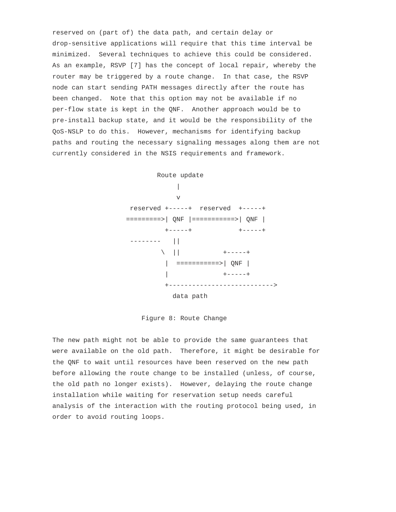reserved on (part of) the data path, and certain delay or drop-sensitive applications will require that this time interval be minimized. Several techniques to achieve this could be considered. As an example, RSVP [7] has the concept of local repair, whereby the router may be triggered by a route change. In that case, the RSVP node can start sending PATH messages directly after the route has been changed. Note that this option may not be available if no per-flow state is kept in the QNF. Another approach would be to pre-install backup state, and it would be the responsibility of the QoS-NSLP to do this. However, mechanisms for identifying backup paths and routing the necessary signaling messages along them are not currently considered in the NSIS requirements and framework.

 Route update | v reserved +-----+ reserved +-----+ =========>| QNF |===========>| QNF | +-----+ +-----+ -------- ||  $\setminus$  || +-----+ | ===========>| QNF | | +-----+ +---------------------------> data path

Figure 8: Route Change

 The new path might not be able to provide the same guarantees that were available on the old path. Therefore, it might be desirable for the QNF to wait until resources have been reserved on the new path before allowing the route change to be installed (unless, of course, the old path no longer exists). However, delaying the route change installation while waiting for reservation setup needs careful analysis of the interaction with the routing protocol being used, in order to avoid routing loops.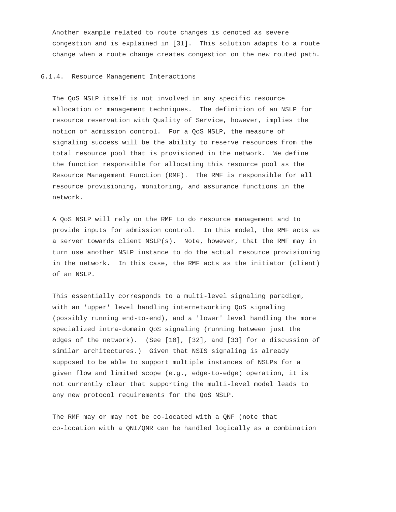Another example related to route changes is denoted as severe congestion and is explained in [31]. This solution adapts to a route change when a route change creates congestion on the new routed path.

#### 6.1.4. Resource Management Interactions

 The QoS NSLP itself is not involved in any specific resource allocation or management techniques. The definition of an NSLP for resource reservation with Quality of Service, however, implies the notion of admission control. For a QoS NSLP, the measure of signaling success will be the ability to reserve resources from the total resource pool that is provisioned in the network. We define the function responsible for allocating this resource pool as the Resource Management Function (RMF). The RMF is responsible for all resource provisioning, monitoring, and assurance functions in the network.

 A QoS NSLP will rely on the RMF to do resource management and to provide inputs for admission control. In this model, the RMF acts as a server towards client NSLP(s). Note, however, that the RMF may in turn use another NSLP instance to do the actual resource provisioning in the network. In this case, the RMF acts as the initiator (client) of an NSLP.

 This essentially corresponds to a multi-level signaling paradigm, with an 'upper' level handling internetworking QoS signaling (possibly running end-to-end), and a 'lower' level handling the more specialized intra-domain QoS signaling (running between just the edges of the network). (See [10], [32], and [33] for a discussion of similar architectures.) Given that NSIS signaling is already supposed to be able to support multiple instances of NSLPs for a given flow and limited scope (e.g., edge-to-edge) operation, it is not currently clear that supporting the multi-level model leads to any new protocol requirements for the QoS NSLP.

 The RMF may or may not be co-located with a QNF (note that co-location with a QNI/QNR can be handled logically as a combination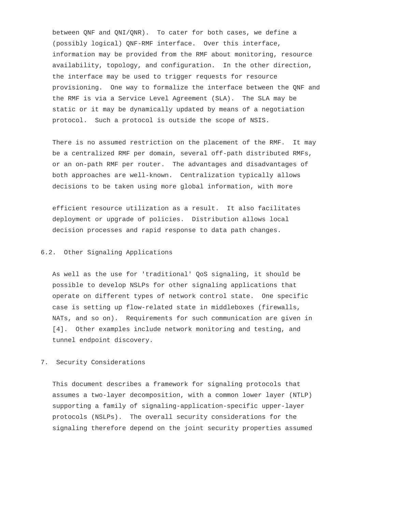between QNF and QNI/QNR). To cater for both cases, we define a (possibly logical) QNF-RMF interface. Over this interface, information may be provided from the RMF about monitoring, resource availability, topology, and configuration. In the other direction, the interface may be used to trigger requests for resource provisioning. One way to formalize the interface between the QNF and the RMF is via a Service Level Agreement (SLA). The SLA may be static or it may be dynamically updated by means of a negotiation protocol. Such a protocol is outside the scope of NSIS.

 There is no assumed restriction on the placement of the RMF. It may be a centralized RMF per domain, several off-path distributed RMFs, or an on-path RMF per router. The advantages and disadvantages of both approaches are well-known. Centralization typically allows decisions to be taken using more global information, with more

 efficient resource utilization as a result. It also facilitates deployment or upgrade of policies. Distribution allows local decision processes and rapid response to data path changes.

### 6.2. Other Signaling Applications

 As well as the use for 'traditional' QoS signaling, it should be possible to develop NSLPs for other signaling applications that operate on different types of network control state. One specific case is setting up flow-related state in middleboxes (firewalls, NATs, and so on). Requirements for such communication are given in [4]. Other examples include network monitoring and testing, and tunnel endpoint discovery.

## 7. Security Considerations

 This document describes a framework for signaling protocols that assumes a two-layer decomposition, with a common lower layer (NTLP) supporting a family of signaling-application-specific upper-layer protocols (NSLPs). The overall security considerations for the signaling therefore depend on the joint security properties assumed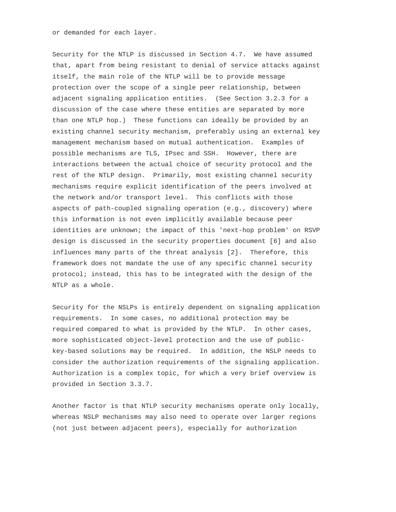or demanded for each layer.

 Security for the NTLP is discussed in Section 4.7. We have assumed that, apart from being resistant to denial of service attacks against itself, the main role of the NTLP will be to provide message protection over the scope of a single peer relationship, between adjacent signaling application entities. (See Section 3.2.3 for a discussion of the case where these entities are separated by more than one NTLP hop.) These functions can ideally be provided by an existing channel security mechanism, preferably using an external key management mechanism based on mutual authentication. Examples of possible mechanisms are TLS, IPsec and SSH. However, there are interactions between the actual choice of security protocol and the rest of the NTLP design. Primarily, most existing channel security mechanisms require explicit identification of the peers involved at the network and/or transport level. This conflicts with those aspects of path-coupled signaling operation (e.g., discovery) where this information is not even implicitly available because peer identities are unknown; the impact of this 'next-hop problem' on RSVP design is discussed in the security properties document [6] and also influences many parts of the threat analysis [2]. Therefore, this framework does not mandate the use of any specific channel security protocol; instead, this has to be integrated with the design of the NTLP as a whole.

 Security for the NSLPs is entirely dependent on signaling application requirements. In some cases, no additional protection may be required compared to what is provided by the NTLP. In other cases, more sophisticated object-level protection and the use of public key-based solutions may be required. In addition, the NSLP needs to consider the authorization requirements of the signaling application. Authorization is a complex topic, for which a very brief overview is provided in Section 3.3.7.

 Another factor is that NTLP security mechanisms operate only locally, whereas NSLP mechanisms may also need to operate over larger regions (not just between adjacent peers), especially for authorization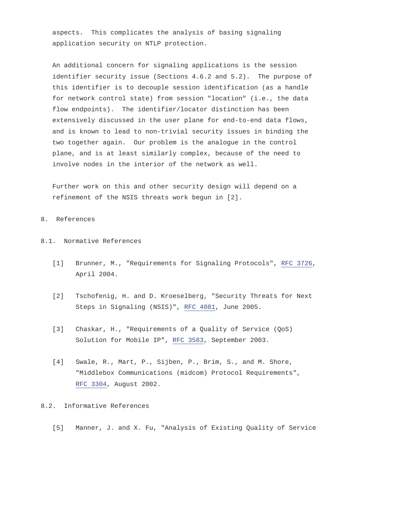aspects. This complicates the analysis of basing signaling application security on NTLP protection.

 An additional concern for signaling applications is the session identifier security issue (Sections 4.6.2 and 5.2). The purpose of this identifier is to decouple session identification (as a handle for network control state) from session "location" (i.e., the data flow endpoints). The identifier/locator distinction has been extensively discussed in the user plane for end-to-end data flows, and is known to lead to non-trivial security issues in binding the two together again. Our problem is the analogue in the control plane, and is at least similarly complex, because of the need to involve nodes in the interior of the network as well.

 Further work on this and other security design will depend on a refinement of the NSIS threats work begun in [2].

### 8. References

# 8.1. Normative References

- [1] Brunner, M., "Requirements for Signaling Protocols", [RFC 3726](http://www.faqs.org/rfcs/rfc3726.html), April 2004.
- [2] Tschofenig, H. and D. Kroeselberg, "Security Threats for Next Steps in Signaling (NSIS)", [RFC 4081](http://www.faqs.org/rfcs/rfc4081.html), June 2005.
- [3] Chaskar, H., "Requirements of a Quality of Service (QoS) Solution for Mobile IP", [RFC 3583](http://www.faqs.org/rfcs/rfc3583.html), September 2003.
- [4] Swale, R., Mart, P., Sijben, P., Brim, S., and M. Shore, "Middlebox Communications (midcom) Protocol Requirements", [RFC 3304](http://www.faqs.org/rfcs/rfc3304.html), August 2002.

# 8.2. Informative References

[5] Manner, J. and X. Fu, "Analysis of Existing Quality of Service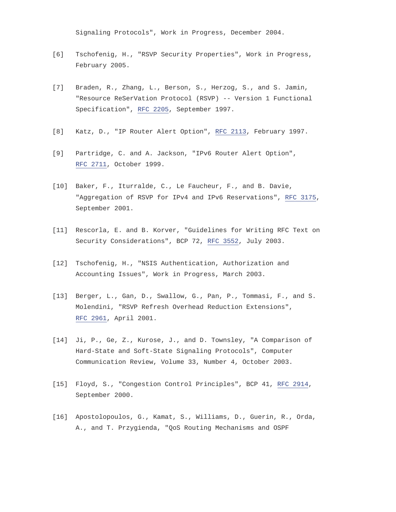Signaling Protocols", Work in Progress, December 2004.

- [6] Tschofenig, H., "RSVP Security Properties", Work in Progress, February 2005.
- [7] Braden, R., Zhang, L., Berson, S., Herzog, S., and S. Jamin, "Resource ReSerVation Protocol (RSVP) -- Version 1 Functional Specification", [RFC 2205](http://www.faqs.org/rfcs/rfc2205.html), September 1997.
- [8] Katz, D., "IP Router Alert Option", [RFC 2113](http://www.faqs.org/rfcs/rfc2113.html), February 1997.
- [9] Partridge, C. and A. Jackson, "IPv6 Router Alert Option", [RFC 2711](http://www.faqs.org/rfcs/rfc2711.html), October 1999.
- [10] Baker, F., Iturralde, C., Le Faucheur, F., and B. Davie, "Aggregation of RSVP for IPv4 and IPv6 Reservations", [RFC 3175](http://www.faqs.org/rfcs/rfc3175.html), September 2001.
- [11] Rescorla, E. and B. Korver, "Guidelines for Writing RFC Text on Security Considerations", BCP 72, [RFC 3552](http://www.faqs.org/rfcs/rfc3552.html), July 2003.
- [12] Tschofenig, H., "NSIS Authentication, Authorization and Accounting Issues", Work in Progress, March 2003.
- [13] Berger, L., Gan, D., Swallow, G., Pan, P., Tommasi, F., and S. Molendini, "RSVP Refresh Overhead Reduction Extensions", [RFC 2961](http://www.faqs.org/rfcs/rfc2961.html), April 2001.
- [14] Ji, P., Ge, Z., Kurose, J., and D. Townsley, "A Comparison of Hard-State and Soft-State Signaling Protocols", Computer Communication Review, Volume 33, Number 4, October 2003.
- [15] Floyd, S., "Congestion Control Principles", BCP 41, [RFC 2914](http://www.faqs.org/rfcs/rfc2914.html), September 2000.
- [16] Apostolopoulos, G., Kamat, S., Williams, D., Guerin, R., Orda, A., and T. Przygienda, "QoS Routing Mechanisms and OSPF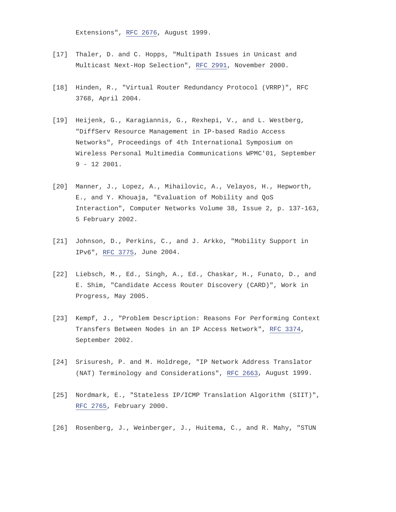Extensions", [RFC 2676](http://www.faqs.org/rfcs/rfc2676.html), August 1999.

- [17] Thaler, D. and C. Hopps, "Multipath Issues in Unicast and Multicast Next-Hop Selection", [RFC 2991](http://www.faqs.org/rfcs/rfc2991.html), November 2000.
- [18] Hinden, R., "Virtual Router Redundancy Protocol (VRRP)", RFC 3768, April 2004.
- [19] Heijenk, G., Karagiannis, G., Rexhepi, V., and L. Westberg, "DiffServ Resource Management in IP-based Radio Access Networks", Proceedings of 4th International Symposium on Wireless Personal Multimedia Communications WPMC'01, September 9 - 12 2001.
- [20] Manner, J., Lopez, A., Mihailovic, A., Velayos, H., Hepworth, E., and Y. Khouaja, "Evaluation of Mobility and QoS Interaction", Computer Networks Volume 38, Issue 2, p. 137-163, 5 February 2002.
- [21] Johnson, D., Perkins, C., and J. Arkko, "Mobility Support in IPv6", [RFC 3775](http://www.faqs.org/rfcs/rfc3775.html), June 2004.
- [22] Liebsch, M., Ed., Singh, A., Ed., Chaskar, H., Funato, D., and E. Shim, "Candidate Access Router Discovery (CARD)", Work in Progress, May 2005.
- [23] Kempf, J., "Problem Description: Reasons For Performing Context Transfers Between Nodes in an IP Access Network", [RFC 3374](http://www.faqs.org/rfcs/rfc3374.html), September 2002.
- [24] Srisuresh, P. and M. Holdrege, "IP Network Address Translator (NAT) Terminology and Considerations", [RFC 2663](http://www.faqs.org/rfcs/rfc2663.html), August 1999.
- [25] Nordmark, E., "Stateless IP/ICMP Translation Algorithm (SIIT)", [RFC 2765](http://www.faqs.org/rfcs/rfc2765.html), February 2000.
- [26] Rosenberg, J., Weinberger, J., Huitema, C., and R. Mahy, "STUN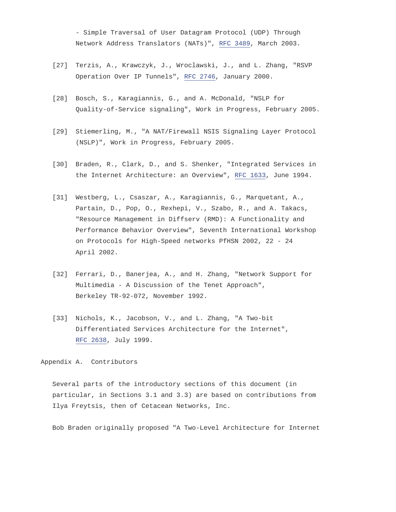- Simple Traversal of User Datagram Protocol (UDP) Through Network Address Translators (NATs)", [RFC 3489](http://www.faqs.org/rfcs/rfc3489.html), March 2003.

- [27] Terzis, A., Krawczyk, J., Wroclawski, J., and L. Zhang, "RSVP Operation Over IP Tunnels", [RFC 2746](http://www.faqs.org/rfcs/rfc2746.html), January 2000.
- [28] Bosch, S., Karagiannis, G., and A. McDonald, "NSLP for Quality-of-Service signaling", Work in Progress, February 2005.
- [29] Stiemerling, M., "A NAT/Firewall NSIS Signaling Layer Protocol (NSLP)", Work in Progress, February 2005.
- [30] Braden, R., Clark, D., and S. Shenker, "Integrated Services in the Internet Architecture: an Overview", [RFC 1633](http://www.faqs.org/rfcs/rfc1633.html), June 1994.
- [31] Westberg, L., Csaszar, A., Karagiannis, G., Marquetant, A., Partain, D., Pop, O., Rexhepi, V., Szabo, R., and A. Takacs, "Resource Management in Diffserv (RMD): A Functionality and Performance Behavior Overview", Seventh International Workshop on Protocols for High-Speed networks PfHSN 2002, 22 - 24 April 2002.
- [32] Ferrari, D., Banerjea, A., and H. Zhang, "Network Support for Multimedia - A Discussion of the Tenet Approach", Berkeley TR-92-072, November 1992.
- [33] Nichols, K., Jacobson, V., and L. Zhang, "A Two-bit Differentiated Services Architecture for the Internet", [RFC 2638](http://www.faqs.org/rfcs/rfc2638.html), July 1999.

Appendix A. Contributors

 Several parts of the introductory sections of this document (in particular, in Sections 3.1 and 3.3) are based on contributions from Ilya Freytsis, then of Cetacean Networks, Inc.

Bob Braden originally proposed "A Two-Level Architecture for Internet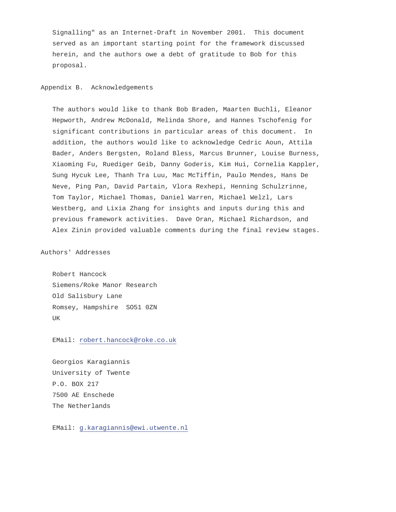Signalling" as an Internet-Draft in November 2001. This document served as an important starting point for the framework discussed herein, and the authors owe a debt of gratitude to Bob for this proposal.

# Appendix B. Acknowledgements

 The authors would like to thank Bob Braden, Maarten Buchli, Eleanor Hepworth, Andrew McDonald, Melinda Shore, and Hannes Tschofenig for significant contributions in particular areas of this document. In addition, the authors would like to acknowledge Cedric Aoun, Attila Bader, Anders Bergsten, Roland Bless, Marcus Brunner, Louise Burness, Xiaoming Fu, Ruediger Geib, Danny Goderis, Kim Hui, Cornelia Kappler, Sung Hycuk Lee, Thanh Tra Luu, Mac McTiffin, Paulo Mendes, Hans De Neve, Ping Pan, David Partain, Vlora Rexhepi, Henning Schulzrinne, Tom Taylor, Michael Thomas, Daniel Warren, Michael Welzl, Lars Westberg, and Lixia Zhang for insights and inputs during this and previous framework activities. Dave Oran, Michael Richardson, and Alex Zinin provided valuable comments during the final review stages.

Authors' Addresses

 Robert Hancock Siemens/Roke Manor Research Old Salisbury Lane Romsey, Hampshire SO51 0ZN UK

EMail: [robert.hancock@roke.co.uk](mailto:robert.hancock@roke.co.uk)

 Georgios Karagiannis University of Twente P.O. BOX 217 7500 AE Enschede The Netherlands

EMail: [g.karagiannis@ewi.utwente.nl](mailto:g.karagiannis@ewi.utwente.nl)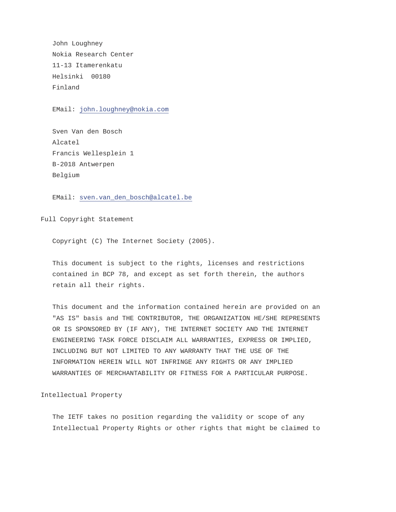John Loughney Nokia Research Center 11-13 Itamerenkatu Helsinki 00180 Finland

EMail: [john.loughney@nokia.com](mailto:john.loughney@nokia.com)

 Sven Van den Bosch Alcatel Francis Wellesplein 1 B-2018 Antwerpen Belgium

EMail: [sven.van\\_den\\_bosch@alcatel.be](mailto:sven.van_den_bosch@alcatel.be)

Full Copyright Statement

Copyright (C) The Internet Society (2005).

 This document is subject to the rights, licenses and restrictions contained in BCP 78, and except as set forth therein, the authors retain all their rights.

 This document and the information contained herein are provided on an "AS IS" basis and THE CONTRIBUTOR, THE ORGANIZATION HE/SHE REPRESENTS OR IS SPONSORED BY (IF ANY), THE INTERNET SOCIETY AND THE INTERNET ENGINEERING TASK FORCE DISCLAIM ALL WARRANTIES, EXPRESS OR IMPLIED, INCLUDING BUT NOT LIMITED TO ANY WARRANTY THAT THE USE OF THE INFORMATION HEREIN WILL NOT INFRINGE ANY RIGHTS OR ANY IMPLIED WARRANTIES OF MERCHANTABILITY OR FITNESS FOR A PARTICULAR PURPOSE.

Intellectual Property

 The IETF takes no position regarding the validity or scope of any Intellectual Property Rights or other rights that might be claimed to